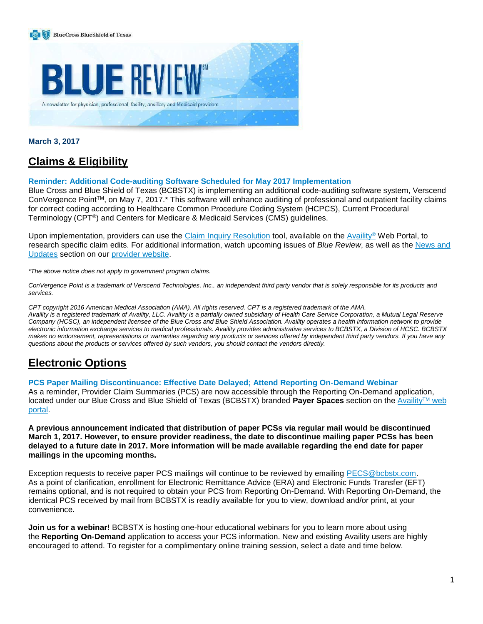



**March 3, 2017**

# **Claims & Eligibility**

# **Reminder: Additional Code-auditing Software Scheduled for May 2017 Implementation**

Blue Cross and Blue Shield of Texas (BCBSTX) is implementing an additional code-auditing software system, Verscend ConVergence PointTM, on May 7, 2017.\* This software will enhance auditing of professional and outpatient facility claims for correct coding according to Healthcare Common Procedure Coding System (HCPCS), Current Procedural Terminology (CPT®) and Centers for Medicare & Medicaid Services (CMS) guidelines.

Upon implementation, providers can use the Claim Inquiry [Resolution](https://www.bcbstx.com/provider/claims/cir_tool.html) tool, available on the [Availity](https://www.availity.com/)<sup>®</sup> Web Portal, to research specific claim edits. For additional information, watch upcoming issues of *Blue Review*, as well as the [News](https://www.bcbstx.com/provider/news/index.html) and [Updates](https://www.bcbstx.com/provider/news/index.html) section on our [provider](https://www.bcbstx.com/provider/index.html) website.

*\*The above notice does not apply to government program claims.*

ConVergence Point is a trademark of Verscend Technologies, Inc., an independent third party vendor that is solely responsible for its products and *services.*

CPT copyright 2016 American Medical Association (AMA). All rights reserved. CPT is a registered trademark of the AMA. Availity is a registered trademark of Availity, LLC. Availity is a partially owned subsidiary of Health Care Service Corporation, a Mutual Legal Reserve Company (HCSC), an independent licensee of the Blue Cross and Blue Shield Association. Availity operates a health information network to provide electronic information exchange services to medical professionals. Availity provides administrative services to BCBSTX, a Division of HCSC. BCBSTX makes no endorsement, representations or warranties regarding any products or services offered by independent third party vendors. If you have any *questions about the products or services offered by such vendors, you should contact the vendors directly.*

# **Electronic Options**

**PCS Paper Mailing Discontinuance: Effective Date Delayed; Attend Reporting On-Demand Webinar**

As a reminder, Provider Claim Summaries (PCS) are now accessible through the Reporting On-Demand application, located under our Blue Cross and Blue Shield of Texas (BCBSTX) branded **Payer Spaces** section on the [Availity](https://apps.availity.com/availity/web/public.elegant.login)TM web [portal.](https://apps.availity.com/availity/web/public.elegant.login)

**A previous announcement indicated that distribution of paper PCSs via regular mail would be discontinued March 1, 2017. However, to ensure provider readiness, the date to discontinue mailing paper PCSs has been** delayed to a future date in 2017. More information will be made available regarding the end date for paper **mailings in the upcoming months.**

Exception requests to receive paper PCS mailings will continue to be reviewed by emailing [PECS@bcbstx.com.](PECS@bcbstx.com) As a point of clarification, enrollment for Electronic Remittance Advice (ERA) and Electronic Funds Transfer (EFT) remains optional, and is not required to obtain your PCS from Reporting On-Demand. With Reporting On-Demand, the identical PCS received by mail from BCBSTX is readily available for you to view, download and/or print, at your convenience.

**Join us for a webinar!** BCBSTX is hosting one-hour educational webinars for you to learn more about using the **Reporting On-Demand** application to access your PCS information. New and existing Availity users are highly encouraged to attend. To register for a complimentary online training session, select a date and time below.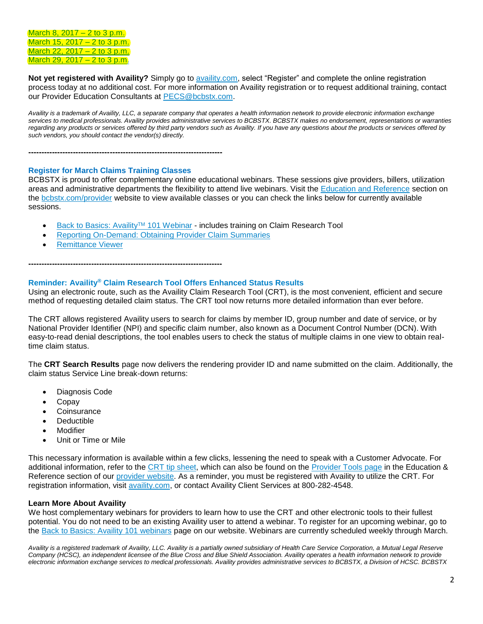[March](http://www.pages02.net/hcscnosuppression/blue_review_march_2017/LPT.url?kn=981451&vs=OWExYjQzZDktNmJlOC00YmFmLWI2MDctYTAzZGI3YzhiNjQ1OzA6MTA1MzM0ODI6MTg2NTA0NTY2NDQyOjExMjAwNzkxNzU6MTEyMDA3OTE3NTsS1) 8, 2017 – 2 to 3 p.m. [March](http://www.pages02.net/hcscnosuppression/blue_review_march_2017/LPT.url?kn=981452&vs=OWExYjQzZDktNmJlOC00YmFmLWI2MDctYTAzZGI3YzhiNjQ1OzA6MTA1MzM0ODI6MTg2NTA0NTY2NDQyOjExMjAwNzkxNzU6MTEyMDA3OTE3NTsS1) 15, 2017 – 2 to 3 p.m. [March](http://www.pages02.net/hcscnosuppression/blue_review_march_2017/LPT.url?kn=981453&vs=OWExYjQzZDktNmJlOC00YmFmLWI2MDctYTAzZGI3YzhiNjQ1OzA6MTA1MzM0ODI6MTg2NTA0NTY2NDQyOjExMjAwNzkxNzU6MTEyMDA3OTE3NTsS1) 22, 2017 – 2 to 3 p.m. [March](http://www.pages02.net/hcscnosuppression/blue_review_march_2017/LPT.url?kn=981454&vs=OWExYjQzZDktNmJlOC00YmFmLWI2MDctYTAzZGI3YzhiNjQ1OzA6MTA1MzM0ODI6MTg2NTA0NTY2NDQyOjExMjAwNzkxNzU6MTEyMDA3OTE3NTsS1) 29, 2017  $-$  2 to 3 p.m.

**Not yet registered with Availity?** Simply go to [availity.com](https://www.availity.com/), select "Register" and complete the online registration process today at no additional cost. For more information on Availity registration or to request additional training, contact our Provider Education Consultants at [PECS@bcbstx.com.](PECS@tx.com)

*Availity is a trademark of Availity, LLC, a separate company that operates a health information network to provide electronic information exchange services to medical professionals. Availity provides administrative services to BCBSTX. BCBSTX makes no endorsement, representations or warranties*  regarding any products or services offered by third party vendors such as Availity. If you have any questions about the products or services offered by *such vendors, you should contact the vendor(s) directly.*

**--------------------------------------------------------------------------**

#### **Register for March Claims Training Classes**

BCBSTX is proud to offer complementary online educational webinars. These sessions give providers, billers, utilization areas and administrative departments the flexibility to attend live webinars. Visit the [Education and Reference](https://www.bcbstx.com/provider/education_reference.html) section on the [bcbstx.com/provider](https://www.bcbstx.com/provider/) website to view available classes or you can check the links below for currently available sessions.

- [Back to Basics: Availity](http://links.mkt2527.com/ctt?kn=1&ms=MTA1MzM0ODIS1&r=MTg2NTA0NTY2NDQyS0&b=0&j=MTEyMDA3OTE3NQS2&mt=1&rt=0)<sup>™</sup> 101 Webinar includes training on Claim Research Tool
- [Reporting On-Demand: Obtaining Provider Claim Summaries](https://www.bcbstx.com/provider/tools/index.html)
- [Remittance Viewer](https://www.bcbstx.com/provider/training/provider_education.html)

**--------------------------------------------------------------------------**

# **Reminder: Availity® Claim Research Tool Offers Enhanced Status Results**

Using an electronic route, such as the Availity Claim Research Tool (CRT), is the most convenient, efficient and secure method of requesting detailed claim status. The CRT tool now returns more detailed information than ever before.

The CRT allows registered Availity users to search for claims by member ID, group number and date of service, or by National Provider Identifier (NPI) and specific claim number, also known as a Document Control Number (DCN). With easy-to-read denial descriptions, the tool enables users to check the status of multiple claims in one view to obtain realtime claim status.

The **CRT Search Results** page now delivers the rendering provider ID and name submitted on the claim. Additionally, the claim status Service Line break-down returns:

- Diagnosis Code
- Copay
- **Coinsurance**
- **Deductible**
- **Modifier**
- Unit or Time or Mile

This necessary information is available within a few clicks, lessening the need to speak with a Customer Advocate. For additional information, refer to the CRT tip [sheet,](https://www.bcbstx.com/provider/pdf/availity_crt_online_tip_sheet.pdf) which can also be found on the [Provider](https://www.bcbstx.com/provider/tools/index.html) Tools page in the Education & Reference section of our [provider](https://www.bcbstx.com/provider/) website. As a reminder, you must be registered with Availity to utilize the CRT. For registration information, visit [availity.com,](https://www.availity.com/) or contact Availity Client Services at 800-282-4548.

# **Learn More About Availity**

We host complementary webinars for providers to learn how to use the CRT and other electronic tools to their fullest potential. You do not need to be an existing Availity user to attend a webinar. To register for an upcoming webinar, go to the Back to Basics: Availity 101 [webinars](https://www.bcbstx.com/provider/tools/index.html) page on our website. Webinars are currently scheduled weekly through March.

Availity is a registered trademark of Availity, LLC. Availity is a partially owned subsidiary of Health Care Service Corporation, a Mutual Legal Reserve Company (HCSC), an independent licensee of the Blue Cross and Blue Shield Association. Availity operates a health information network to provide electronic information exchange services to medical professionals. Availity provides administrative services to BCBSTX, a Division of HCSC. BCBSTX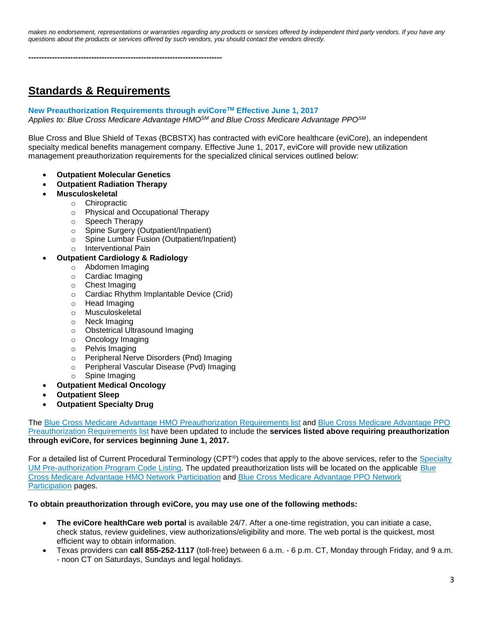makes no endorsement, representations or warranties regarding any products or services offered by independent third party vendors. If you have any *questions about the products or services offered by such vendors, you should contact the vendors directly.*

**--------------------------------------------------------------------------**

# **Standards & Requirements**

# **New Preauthorization Requirements through eviCoreTM Effective June 1, 2017**

*Applies to: Blue Cross Medicare Advantage HMOSM and Blue Cross Medicare Advantage PPOSM*

Blue Cross and Blue Shield of Texas (BCBSTX) has contracted with eviCore healthcare (eviCore), an independent specialty medical benefits management company. Effective June 1, 2017, eviCore will provide new utilization management preauthorization requirements for the specialized clinical services outlined below:

- **Outpatient Molecular Genetics**
- **Outpatient Radiation Therapy**
- **Musculoskeletal**
	- o Chiropractic
		- o Physical and Occupational Therapy
		- o Speech Therapy
		- o Spine Surgery (Outpatient/Inpatient)
		- o Spine Lumbar Fusion (Outpatient/Inpatient)
		- o Interventional Pain

# **Outpatient Cardiology & Radiology**

- o Abdomen Imaging
- o Cardiac Imaging
- o Chest Imaging
- o Cardiac Rhythm Implantable Device (Crid)
- o Head Imaging
- o Musculoskeletal
- o Neck Imaging
- o Obstetrical Ultrasound Imaging
- o Oncology Imaging
- o Pelvis Imaging
- o Peripheral Nerve Disorders (Pnd) Imaging
- o Peripheral Vascular Disease (Pvd) Imaging
- o Spine Imaging
- **Outpatient Medical Oncology**
- **Outpatient Sleep**
- **Outpatient Specialty Drug**

The Blue Cross Medicare Advantage HMO [Preauthorization](https://www.bcbstx.com/provider/pdf/bcma-preauth-06012017.pdf) Requirements list and Blue Cross Medicare [Advantage](https://www.bcbstx.com/provider/pdf/bma-preauth-06012017.pdf) PPO [Preauthorization](https://www.bcbstx.com/provider/pdf/bma-preauth-06012017.pdf) Requirements list have been updated to include the **services listed above requiring preauthorization through eviCore, for services beginning June 1, 2017.**

For a detailed list of Current Procedural Terminology (CPT®) codes that apply to the above services, refer to the [Specialty](https://www.bcbstx.com/pdf/specialty-um-pre-authorization-program-code-listing.pdf) UM [Pre-authorization](https://www.bcbstx.com/pdf/specialty-um-pre-authorization-program-code-listing.pdf) Program Code Listing. The updated preauthorization lists will be located on the applicable [Blue](https://www.bcbstx.com/provider/network/bma_hmo.html) Cross Medicare Advantage HMO Network [Participation](https://www.bcbstx.com/provider/network/bma_hmo.html) and Blue Cross Medicare [Advantage](https://www.bcbstx.com/provider/network/bma_ppo.html) PPO Network [Participation](https://www.bcbstx.com/provider/network/bma_ppo.html) pages.

#### **To obtain preauthorization through eviCore, you may use one of the following methods:**

- **The eviCore healthCare web portal** is available 24/7. After a one-time registration, you can initiate a case, check status, review guidelines, view authorizations/eligibility and more. The web portal is the quickest, most efficient way to obtain information.
- Texas providers can **call 855-252-1117** (toll-free) between 6 a.m. 6 p.m. CT, Monday through Friday, and 9 a.m. - noon CT on Saturdays, Sundays and legal holidays.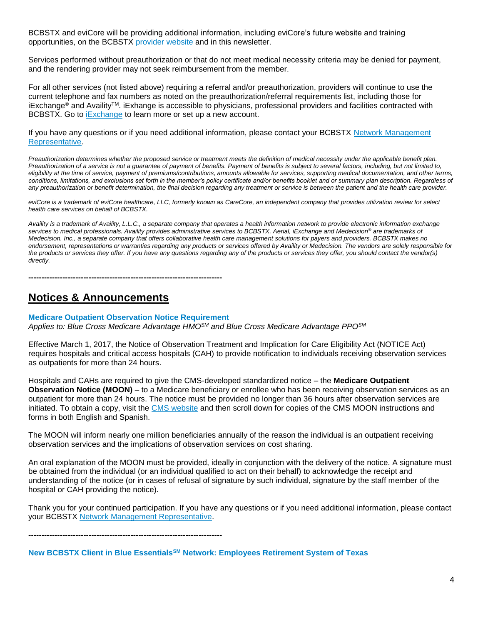BCBSTX and eviCore will be providing additional information, including eviCore's future website and training opportunities, on the BCBSTX [provider](https://www.bcbstx.com/provider/) website and in this newsletter.

Services performed without preauthorization or that do not meet medical necessity criteria may be denied for payment, and the rendering provider may not seek reimbursement from the member.

For all other services (not listed above) requiring a referral and/or preauthorization, providers will continue to use the current telephone and fax numbers as noted on the preauthorization/referral requirements list, including those for iExchange® and Availity™. iExhange is accessible to physicians, professional providers and facilities contracted with BCBSTX. Go to *[iExchange](https://www.bcbstx.com/provider/tools/iexchange_index.html)* to learn more or set up a new account.

If you have any questions or if you need additional information, please contact your BCBSTX Network [Management](https://www.bcbstx.com/provider/contact_us.html#localnetwork) [Representative.](https://www.bcbstx.com/provider/contact_us.html#localnetwork)

Preauthorization determines whether the proposed service or treatment meets the definition of medical necessity under the applicable benefit plan. *Preauthorization of a service is not a guarantee of payment of benefits. Payment of benefits is subject to several factors, including, but not limited to,*  eligibility at the time of service, payment of premiums/contributions, amounts allowable for services, supporting medical documentation, and other terms, *conditions, limitations, and exclusions set forth in the member's policy certificate and/or benefits booklet and or summary plan description. Regardless of any preauthorization or benefit determination, the final decision regarding any treatment or service is between the patient and the health care provider.*

*eviCore is a trademark of eviCore healthcare, LLC, formerly known as CareCore, an independent company that provides utilization review for select health care services on behalf of BCBSTX.*

*Availity is a trademark of Availity, L.L.C., a separate company that operates a health information network to provide electronic information exchange services to medical professionals. Availity provides administrative services to BCBSTX. Aerial, iExchange and Medecision® are trademarks of Medecision, Inc., a separate company that offers collaborative health care management solutions for payers and providers. BCBSTX makes no*  endorsement, representations or warranties regarding any products or services offered by Availity or Medecision. The vendors are solely responsible for *the products or services they offer. If you have any questions regarding any of the products or services they offer, you should contact the vendor(s) directly.*

**--------------------------------------------------------------------------**

# **Notices & Announcements**

#### **Medicare Outpatient Observation Notice Requirement**

*Applies to: Blue Cross Medicare Advantage HMOSM and Blue Cross Medicare Advantage PPOSM*

Effective March 1, 2017, the Notice of Observation Treatment and Implication for Care Eligibility Act (NOTICE Act) requires hospitals and critical access hospitals (CAH) to provide notification to individuals receiving observation services as outpatients for more than 24 hours.

Hospitals and CAHs are required to give the CMS-developed standardized notice – the **Medicare Outpatient Observation Notice (MOON)** – to a Medicare beneficiary or enrollee who has been receiving observation services as an outpatient for more than 24 hours. The notice must be provided no longer than 36 hours after observation services are initiated. To obtain a copy, visit the CMS [website](https://www.cms.gov/Medicare/Medicare-General-Information/BNI/index.html) and then scroll down for copies of the CMS MOON instructions and forms in both English and Spanish.

The MOON will inform nearly one million beneficiaries annually of the reason the individual is an outpatient receiving observation services and the implications of observation services on cost sharing.

An oral explanation of the MOON must be provided, ideally in conjunction with the delivery of the notice. A signature must be obtained from the individual (or an individual qualified to act on their behalf) to acknowledge the receipt and understanding of the notice (or in cases of refusal of signature by such individual, signature by the staff member of the hospital or CAH providing the notice).

Thank you for your continued participation. If you have any questions or if you need additional information, please contact your BCBSTX Network Management [Representative.](https://www.bcbstx.com/provider/contact_us.html#localnetwork)

**--------------------------------------------------------------------------**

**New BCBSTX Client in Blue EssentialsSM Network: Employees Retirement System of Texas**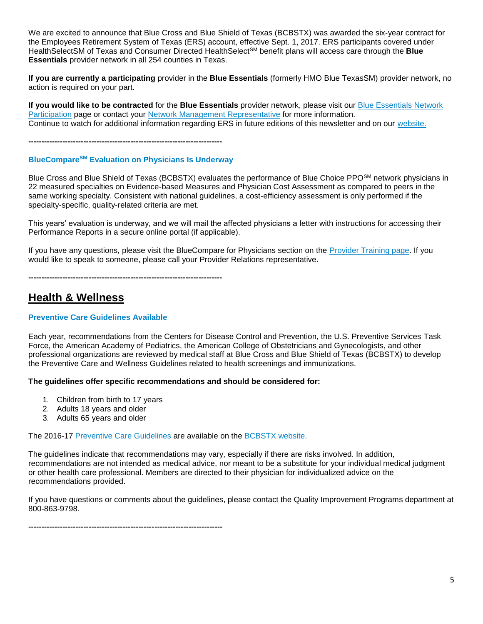We are excited to announce that Blue Cross and Blue Shield of Texas (BCBSTX) was awarded the six-year contract for the Employees Retirement System of Texas (ERS) account, effective Sept. 1, 2017. ERS participants covered under HealthSelectSM of Texas and Consumer Directed HealthSelectSM benefit plans will access care through the **Blue Essentials** provider network in all 254 counties in Texas.

**If you are currently a participating** provider in the **Blue Essentials** (formerly HMO Blue TexasSM) provider network, no action is required on your part.

**If you would like to be contracted** for the **Blue Essentials** provider network, please visit our Blue [Essentials](https://www.bcbstx.com/provider/network/blue_essentials_participation.html) Network [Participation](https://www.bcbstx.com/provider/network/blue_essentials_participation.html) page or contact your Network Management [Representative](https://www.bcbstx.com/provider/contact_us.html#localnetwork) for more information. Continue to watch for additional information regarding ERS in future editions of this newsletter and on our [website.](https://www.bcbstx.com/provider/)

**--------------------------------------------------------------------------**

# **BlueCompareSM Evaluation on Physicians Is Underway**

Blue Cross and Blue Shield of Texas (BCBSTX) evaluates the performance of Blue Choice PPO<sup>SM</sup> network physicians in 22 measured specialties on Evidence-based Measures and Physician Cost Assessment as compared to peers in the same working specialty. Consistent with national guidelines, a cost-efficiency assessment is only performed if the specialty-specific, quality-related criteria are met.

This years' evaluation is underway, and we will mail the affected physicians a letter with instructions for accessing their Performance Reports in a secure online portal (if applicable).

If you have any questions, please visit the BlueCompare for Physicians section on the [Provider](https://www.bcbstx.com/provider/training/index.html) Training page. If you would like to speak to someone, please call your Provider Relations representative.

**--------------------------------------------------------------------------**

# **Health & Wellness**

# **Preventive Care Guidelines Available**

Each year, recommendations from the Centers for Disease Control and Prevention, the U.S. Preventive Services Task Force, the American Academy of Pediatrics, the American College of Obstetricians and Gynecologists, and other professional organizations are reviewed by medical staff at Blue Cross and Blue Shield of Texas (BCBSTX) to develop the Preventive Care and Wellness Guidelines related to health screenings and immunizations.

# **The guidelines offer specific recommendations and should be considered for:**

- 1. Children from birth to 17 years
- 2. Adults 18 years and older
- 3. Adults 65 years and older

#### The 2016-17 [Preventive](https://www.bcbstx.com/pdf/preventive_care_guidelines.pdf) Care Guidelines are available on the [BCBSTX](https://www.bcbstx.com/provider/) website.

The guidelines indicate that recommendations may vary, especially if there are risks involved. In addition, recommendations are not intended as medical advice, nor meant to be a substitute for your individual medical judgment or other health care professional. Members are directed to their physician for individualized advice on the recommendations provided.

If you have questions or comments about the guidelines, please contact the Quality Improvement Programs department at 800-863-9798.

**--------------------------------------------------------------------------**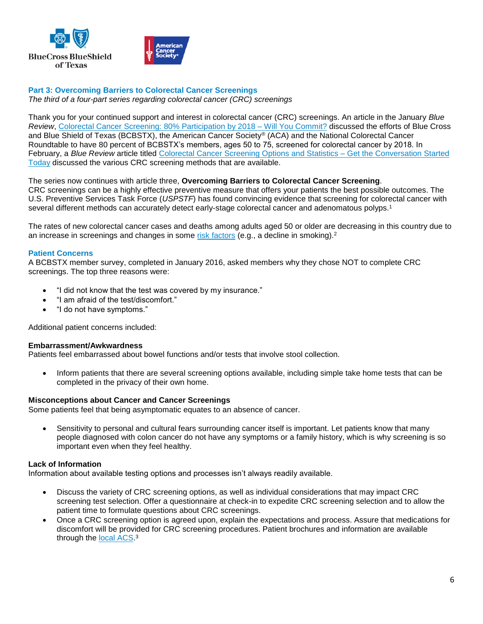

# **Part 3: Overcoming Barriers to Colorectal Cancer Screenings**

*The third of a four-part series regarding colorectal cancer (CRC) screenings*

Thank you for your continued support and interest in colorectal cancer (CRC) screenings. An article in the January *Blue Review*, Colorectal Cancer Screening: 80% [Participation](https://www.bcbstx.com/provider/news/bluereview.html) by 2018 – Will You Commit? discussed the efforts of Blue Cross and Blue Shield of Texas (BCBSTX), the American Cancer Society® (ACA) and the National Colorectal Cancer Roundtable to have 80 percent of BCBSTX's members, ages 50 to 75, screened for colorectal cancer by 2018. In February, a *Blue Review* article titled Colorectal Cancer Screening Options and Statistics – Get the [Conversation](https://www.bcbstx.com/provider/news/bluereview.html) Started [Today](https://www.bcbstx.com/provider/news/bluereview.html) discussed the various CRC screening methods that are available.

The series now continues with article three, **Overcoming Barriers to Colorectal Cancer Screening**. CRC screenings can be a highly effective preventive measure that offers your patients the best possible outcomes. The U.S. Preventive Services Task Force (*USPSTF*) has found convincing evidence that screening for colorectal cancer with several different methods can accurately detect early-stage colorectal cancer and adenomatous polyps.<sup>1</sup>

The rates of new colorectal cancer cases and deaths among adults aged 50 or older are decreasing in this country due to an increase in screenings and changes in some risk [factors](https://www.cancer.gov/Common/PopUps/popDefinition.aspx?id=CDR0000045873&version=Patient&language=English) (e.g., a decline in smoking).<sup>2</sup>

# **Patient Concerns**

A BCBSTX member survey, completed in January 2016, asked members why they chose NOT to complete CRC screenings. The top three reasons were:

- "I did not know that the test was covered by my insurance."
- "I am afraid of the test/discomfort."
- "I do not have symptoms."

Additional patient concerns included:

#### **Embarrassment/Awkwardness**

Patients feel embarrassed about bowel functions and/or tests that involve stool collection.

• Inform patients that there are several screening options available, including simple take home tests that can be completed in the privacy of their own home.

#### **Misconceptions about Cancer and Cancer Screenings**

Some patients feel that being asymptomatic equates to an absence of cancer.

 Sensitivity to personal and cultural fears surrounding cancer itself is important. Let patients know that many people diagnosed with colon cancer do not have any symptoms or a family history, which is why screening is so important even when they feel healthy.

#### **Lack of Information**

Information about available testing options and processes isn't always readily available.

- Discuss the variety of CRC screening options, as well as individual considerations that may impact CRC screening test selection. Offer a questionnaire at check-in to expedite CRC screening selection and to allow the patient time to formulate questions about CRC screenings.
- Once a CRC screening option is agreed upon, explain the expectations and process. Assure that medications for discomfort will be provided for CRC screening procedures. Patient brochures and information are available through the <u>local ACS</u>.<sup>3</sup>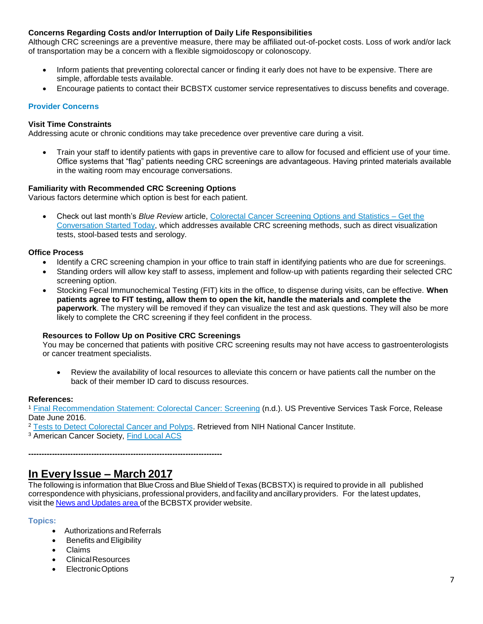# **Concerns Regarding Costs and/or Interruption of Daily Life Responsibilities**

Although CRC screenings are a preventive measure, there may be affiliated out-of-pocket costs. Loss of work and/or lack of transportation may be a concern with a flexible sigmoidoscopy or colonoscopy.

- Inform patients that preventing colorectal cancer or finding it early does not have to be expensive. There are simple, affordable tests available.
- Encourage patients to contact their BCBSTX customer service representatives to discuss benefits and coverage.

# **Provider Concerns**

### **Visit Time Constraints**

Addressing acute or chronic conditions may take precedence over preventive care during a visit.

 Train your staff to identify patients with gaps in preventive care to allow for focused and efficient use of your time. Office systems that "flag" patients needing CRC screenings are advantageous. Having printed materials available in the waiting room may encourage conversations.

#### **Familiarity with Recommended CRC Screening Options**

Various factors determine which option is best for each patient.

 Check out last month's *Blue Review* article, [Colorectal](https://www.bcbstx.com/provider/news/bluereview.html) Cancer Screening Options and Statistics – Get the [Conversation](https://www.bcbstx.com/provider/news/bluereview.html) Started Today, which addresses available CRC screening methods, such as direct visualization tests, stool-based tests and serology.

#### **Office Process**

- Identify a CRC screening champion in your office to train staff in identifying patients who are due for screenings.
- Standing orders will allow key staff to assess, implement and follow-up with patients regarding their selected CRC screening option.
- Stocking Fecal Immunochemical Testing (FIT) kits in the office, to dispense during visits, can be effective. **When patients agree to FIT testing, allow them to open the kit, handle the materials and complete the paperwork**. The mystery will be removed if they can visualize the test and ask questions. They will also be more likely to complete the CRC screening if they feel confident in the process.

#### **Resources to Follow Up on Positive CRC Screenings**

You may be concerned that patients with positive CRC screening results may not have access to gastroenterologists or cancer treatment specialists.

 Review the availability of local resources to alleviate this concern or have patients call the number on the back of their member ID card to discuss resources.

#### **References:**

<sup>1</sup> Final [Recommendation](https://www.uspreventiveservicestaskforce.org/Page/Document/RecommendationStatementFinal/colorectal-cancer-screening2) Statement: Colorectal Cancer: Screening (n.d.). US Preventive Services Task Force, Release Date June 2016.

<sup>2</sup> Tests to Detect [Colorectal](https://www.cancer.gov/types/colorectal/screening-fact-sheet#q6) Cancer and Polyps. Retrieved from NIH National Cancer Institute.

<sup>3</sup> American Cancer Society, Find [Local](https://www.cancer.org/about-us/local.html) ACS

**--------------------------------------------------------------------------**

# **In Every Issue – March 2017**

The following is information that BlueCross and Blue Shield of Texas (BCBSTX) is required to provide in all published correspondence with physicians, professional providers, and facilityand ancillary providers. For the latest updates, visit the News and [Updates](https://www.bcbstx.com/provider/news/index.html) area of the BCBSTX provider website.

#### **Topics:**

- Authorizations and Referrals
- Benefits and Eligibility
- Claims
- ClinicalResources
- ElectronicOptions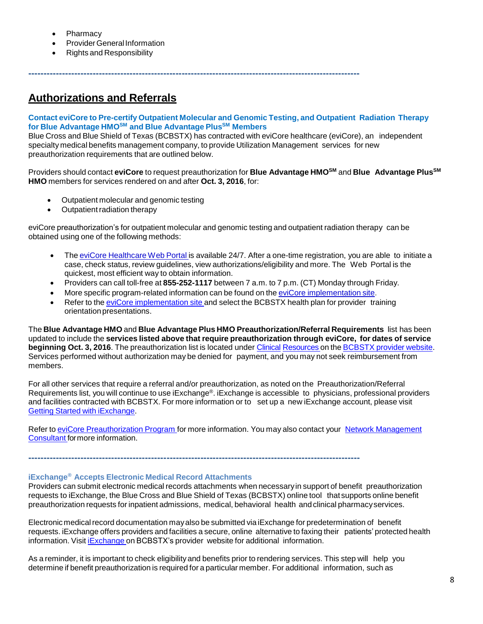- **Pharmacy**
- Provider General Information
- Rights and Responsibility

# **Authorizations and Referrals**

# **Contact eviCore to Pre-certify Outpatient Molecular and Genomic Testing, and Outpatient Radiation Therapy for Blue Advantage HMOSM and Blue Advantage PlusSM Members**

**------------------------------------------------------------------------------------------------------------**

Blue Cross and Blue Shield of Texas (BCBSTX) has contracted with eviCore healthcare (eviCore), an independent specialty medical benefits management company, to provide Utilization Management services for new preauthorization requirements that are outlined below.

Providers should contact **eviCore** to request preauthorization for **Blue Advantage HMOSM** and **Blue Advantage PlusSM HMO** members for services rendered on and after **Oct. 3, 2016**, for:

- Outpatient molecular and genomic testing
- Outpatient radiation therapy

eviCore preauthorization's for outpatient molecular and genomic testing and outpatient radiation therapy can be obtained using one of the following methods:

- The eviCore [Healthcare](http://www.evicore.com/) Web Portal is available 24/7. After a one-time registration, you are able to initiate a case, check status, review guidelines, view authorizations/eligibility and more. The Web Portal is the quickest, most efficient way to obtain information.
- Providers can call toll-free at **855-252-1117** between 7 a.m. to 7 p.m. (CT) Monday through Friday.
- More specific program-related information can be found on the eviCore [implementation](https://www.carecorenational.com/page/bcbs-implementations.aspx) site.
- Refer to the eviCore [implementation](https://www.carecorenational.com/page/bcbs-implementations.aspx) site and select the BCBSTX health plan for provider training orientation presentations.

The **Blue Advantage HMO** and **Blue Advantage Plus HMO Preauthorization/Referral Requirements** list has been updated to include the **services listed above that require preauthorization through eviCore, for dates of service beginning Oct. 3, 2016**. The preauthorization list is located under [Clinical](https://www.bcbstx.com/provider/clinical/index.html) [Resources](https://www.bcbstx.com/provider/clinical/index.html) on the [BCBSTX](http://www.bcbstx.com/provider/) provider website. Services performed without authorization may be denied for payment, and you may not seek reimbursement from members.

For all other services that require a referral and/or preauthorization, as noted on the Preauthorization/Referral Requirements list, you will continue to use iExchange®. iExchange is accessible to physicians, professional providers and facilities contracted with BCBSTX. For more information or to set up a new iExchange account, please visit Getting Started with [iExchange.](http://www.bcbstx.com/provider/tools/iexchange.html)

Refer to eviCore [Preauthorization](http://www.bcbstx.com/provider/clinical/evicore.html) Program for more information. You may also contact your Network [Management](http://www.bcbstx.com/provider/contact_us.html) [Consultant](http://www.bcbstx.com/provider/contact_us.html) formore information.

**------------------------------------------------------------------------------------------------------------**

### **iExchange® Accepts Electronic Medical Record Attachments**

Providers can submit electronic medical records attachments when necessaryin support of benefit preauthorization requests to iExchange, the Blue Cross and Blue Shield of Texas (BCBSTX) online tool that supports online benefit preauthorization requests for inpatient admissions, medical, behavioral health and clinical pharmacyservices.

Electronic medical record documentation may also be submitted via iExchange for predetermination of benefit requests. iExchange offers providers and facilities a secure, online alternative to faxing their patients' protected health information. Visit [iExchange](http://www.bcbstx.com/provider/tools/iexchange_index.html) on BCBSTX's provider website for additional information.

As a reminder, it is important to check eligibilityand benefits prior to rendering services. This step will help you determine if benefit preauthorization is required for a particular member. For additional information, such as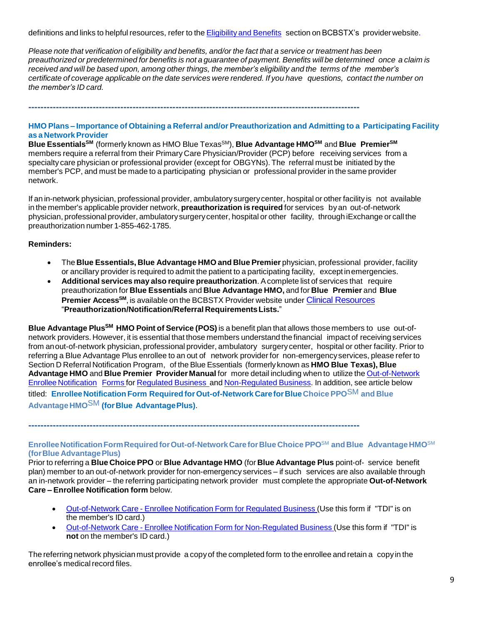definitions and links to helpful resources, refer to the [Eligibility](http://www.bcbstx.com/provider/claims/eligibility_and_benefits.html) and Benefits secti[on](http://www.bcbstx.com/provider) on BCBSTX's provider website.

Please note that verification of eligibility and benefits, and/or the fact that a service or treatment has been preauthorized or predetermined for benefits is not a quarantee of payment. Benefits will be determined once a claim is received and will be based upon, among other things, the member's eligibility and the terms of the member's certificate of coverage applicable on the date services were rendered. If you have questions, contact the number on *the member's ID card.*

**------------------------------------------------------------------------------------------------------------**

# **HMO Plans – Importance of Obtaining a Referral and/or Preauthorization and Admitting to a Participating Facility as a NetworkProvider**

**Blue EssentialsSM** (formerly known as HMO Blue TexasSM), **Blue Advantage HMOSM** and **Blue PremierSM** members require a referral from their Primary Care Physician/Provider (PCP) before receiving services from a specialty care physician or professional provider (except for OBGYNs). The referral must be initiated by the member's PCP, and must be made to a participating physician or professional provider in the same provider network.

If an in-network physician, professional provider, ambulatory surgerycenter, hospital or other facility is not available in the member's applicable provider network, **preauthorization is required** for services byan out-of-network physician, professional provider, ambulatorysurgerycenter, hospital or other facility, through iExchange or call the preauthorization number 1-855-462-1785.

# **Reminders:**

- The **Blue Essentials, Blue Advantage HMO and Blue Premier** physician, professional provider, facility or ancillary provider is required to admit the patient to a participating facility, exceptinemergencies.
- **Additional services may also require preauthorization**. Acomplete list of services that require preauthorization for **Blue Essentials** and **Blue Advantage HMO,** and for **Blue Premier** and **Blue Premier AccessSM**, is available on the BCBSTX Provider website under [Clinical Resources](https://www.bcbstx.com/provider/clinical/index.html) "**Preauthorization/Notification/Referral RequirementsLists.**"

**Blue Advantage PlusSM HMO Point of Service (POS)** is a benefit plan that allows those members to use out-ofnetwork providers. However, it is essential that those members understand the financial impact of receiving services from anout-of-network physician, professional provider, ambulatory surgerycenter, hospital or other facility. Prior to referring a Blue Advantage Plus enrollee to an out of network provider for non-emergencyservices, please refer to Section D Referral Notification Program, of the Blue Essentials (formerly known as **HMO Blue Texas), Blue Advantage HMO** and **Blue Premier Provider Manual** for more detail including when to utilize the [Out-of-Network](https://www.bcbstx.com/provider/pdf/out-of-network-care-enrollee-notification-form.pdf) Enrollee [Notification](https://www.bcbstx.com/provider/pdf/out-of-network-care-enrollee-notification-form.pdf) Forms for [Regulated](http://www.bcbstx.com/provider/pdf/out-of-network-care-enrollee-notification-form.pdf) [Business](http://www.bcbstx.com/provider/pdf/out-of-network-care-enrollee-notification-form.pdf) and [Non-Regulated](http://www.bcbstx.com/provider/pdf/out-of-network-care-enrollee-notification-form-nr.pdf) Business. In addition, see article below titled: **EnrolleeNotification Form RequiredforOut-of-Network CareforBlueChoice PPO**SM **and Blue AdvantageHMO**SM **(forBlue AdvantagePlus)**.

**------------------------------------------------------------------------------------------------------------**

# **EnrolleeNotificationFormRequiredforOut-of-NetworkCareforBlue Choice PPO**SM **and Blue AdvantageHMO**SM **(forBlue AdvantagePlus)**

Prior to referring a **Blue Choice PPO** or **Blue Advantage HMO** (for **Blue Advantage Plus** point-of- service benefit plan) member to an out-of-network provider for non-emergency services – if such services are also available through an in-network provider – the referring participating network provider must complete the appropriate **Out-of-Network Care – Enrollee Notification form** below.

- [Out-of-Network](http://www.bcbstx.com/provider/pdf/out-of-network-care-enrollee-notification-form.pdf) Care Enrollee Notification Form for Regulated Business (Use this form if "TDI" is on the member's ID card.)
- [Out-of-Network](http://www.bcbstx.com/provider/pdf/out-of-network-care-enrollee-notification-form-nr.pdf) Care Enrollee Notification Form for Non-Regulated Business (Use this form if "TDI" is **not** on the member's ID card.)

The referring network physician must provide a copy of the completed form to the enrollee and retain a copy in the enrollee's medical record files.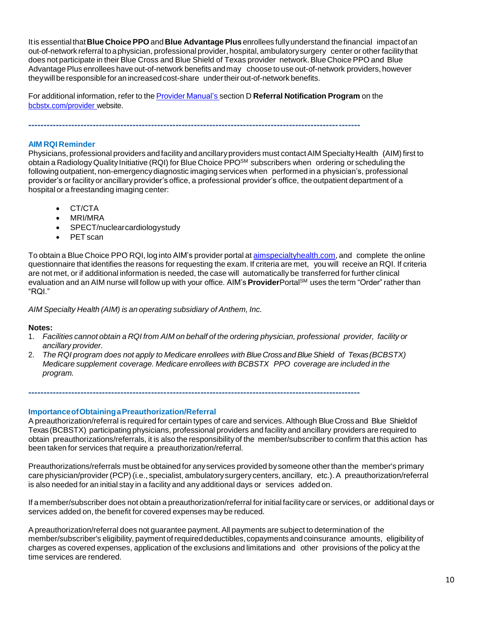Itis essentialthat**Blue Choice PPO** and **Blue Advantage Plus** enrollees fullyunderstand the financial impactof an out-of-network referral toaphysician, professional provider, hospital, ambulatorysurgery center or other facilitythat does not participate in their Blue Cross and Blue Shield of Texas provider network. Blue Choice PPO and Blue Advantage Plus enrollees have out-of-network benefits and may choose to use out-of-network providers, however theywillbe responsible for an increasedcost-share undertheirout-of-network benefits.

For additional information, refer to the Provider [Manual's](http://www.bcbstx.com/provider/gri/index.html) section D **Referral Notification Program** on the [bcbstx.com/provider](http://www.bcbstx.com/provider/index.html) website.

**------------------------------------------------------------------------------------------------------------**

### **AIM RQI Reminder**

Physicians, professional providers and facility and ancillary providers must contact AIM Specialty Health (AIM) first to obtain a Radiology Quality Initiative (RQI) for Blue Choice PPO<sup>≤M</sup> subscribers when ordering or scheduling the following outpatient, non-emergency diagnostic imaging services when performed in a physician's, professional provider's or facility or ancillary provider's office, a professional provider's office, the outpatient department of a hospital or a freestanding imaging center:

- CT/CTA
- MRI/MRA
- SPECT/nuclearcardiologystudy
- PET scan

To obtain a Blue Choice PPO RQI, log into AIM's provider portal at [aimspecialtyhealth.com](http://www.aimspecialtyhealth.com/), and complete the online questionnaire that identifies the reasons for requesting the exam. If criteria are met, you will receive an RQI. If criteria are not met, or if additional information is needed, the case will automatically be transferred for further clinical evaluation and an AIM nurse will follow up with your office. AIM's **Provider**Portal<sup>SM</sup> uses the term "Order" rather than "RQI."

*AIM Specialty Health (AIM) is an operating subsidiary of Anthem, Inc.*

#### **Notes:**

- 1. Facilities cannot obtain a RQI from AIM on behalf of the ordering physician, professional provider, facility or *ancillary provider.*
- 2. *The RQI program does not apply to Medicare enrollees with BlueCrossandBlueShield of Texas(BCBSTX) Medicare supplement coverage. Medicare enrollees with BCBSTX PPO coverage are included in the program.*

**------------------------------------------------------------------------------------------------------------**

**ImportanceofObtainingaPreauthorization/Referral**

Apreauthorization/referral is required for certain types of care and services. Although BlueCrossand Blue Shieldof Texas(BCBSTX) participating physicians, professional providers and facility and ancillary providers are required to obtain preauthorizations/referrals, it is also the responsibilityof the member/subscriber to confirm that this action has been taken for services that require a preauthorization/referral.

Preauthorizations/referrals must be obtained for anyservices provided by someone other than the member's primary care physician/provider (PCP)(i.e., specialist, ambulatorysurgery centers, ancillary, etc.). A preauthorization/referral is also needed for an initial stay in a facility and any additional days or services added on.

If a member/subscriber does not obtain a preauthorization/referral for initial facility care or services, or additional days or services added on, the benefit for covered expenses may be reduced.

Apreauthorization/referral does not guarantee payment. All payments are subject to determination of the member/subscriber's eligibility, payment of required deductibles, copayments and coinsurance amounts. eligibility of charges as covered expenses, application of the exclusions and limitations and other provisions of the policy at the time services are rendered.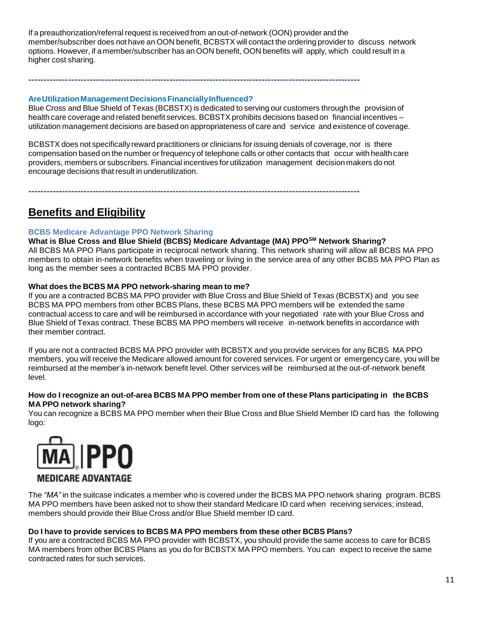If a preauthorization/referral request is received from anout-of-network (OON) provider and the member/subscriber does not have an OON benefit, BCBSTX will contact the ordering provider to discuss network options. However, if a member/subscriber has an OON benefit, OON benefits will apply, which could result in a higher cost sharing.

**------------------------------------------------------------------------------------------------------------**

# **AreUtilizationManagementDecisionsFinanciallyInfluenced?**

Blue Cross and Blue Shield of Texas (BCBSTX) is dedicated to serving our customers through the provision of health care coverage and related benefit services. BCBSTX prohibits decisions based on financial incentives – utilization management decisions are based on appropriateness of care and service and existence of coverage.

BCBSTX does not specifically reward practitioners or clinicians for issuing denials of coverage, nor is there compensation based on the number or frequency of telephone calls or other contacts that occur with health care providers, members or subscribers. Financial incentives for utilization management decision makers do not encourage decisions that result in underutilization.

**------------------------------------------------------------------------------------------------------------**

# **Benefits and Eligibility**

# **BCBS Medicare Advantage PPO Network Sharing**

**What is Blue Cross and Blue Shield (BCBS) Medicare Advantage (MA) PPOSM Network Sharing?** All BCBS MA PPO Plans participate in reciprocal network sharing. This network sharing will allow all BCBS MA PPO members to obtain in-network benefits when traveling or living in the service area of any other BCBS MA PPO Plan as long as the member sees a contracted BCBS MA PPO provider.

# **What does the BCBS MA PPO network-sharing mean to me?**

If you are a contracted BCBS MA PPO provider with Blue Cross and Blue Shield of Texas (BCBSTX) and you see BCBS MA PPO members from other BCBS Plans, these BCBS MA PPO members will be extended the same contractual access to care and will be reimbursed in accordance with your negotiated rate with your Blue Cross and Blue Shield of Texas contract. These BCBS MA PPO members will receive in-network benefits in accordance with their member contract.

If you are not a contracted BCBS MA PPO provider with BCBSTX and you provide services for any BCBS MA PPO members, you will receive the Medicare allowed amount for covered services. For urgent or emergency care, you will be reimbursed at the member's in-network benefit level. Other services will be reimbursed at the out-of-network benefit level.

#### How do I recognize an out-of-area BCBS MA PPO member from one of these Plans participating in the BCBS **MA PPO network sharing?**

You can recognize a BCBS MA PPO member when their Blue Cross and Blue Shield Member ID card has the following logo:



The *"MA"* in the suitcase indicates a member who is covered under the BCBS MA PPO network sharing program. BCBS MA PPO members have been asked not to show their standard Medicare ID card when receiving services; instead, members should provide their Blue Cross and/or Blue Shield member ID card.

# **Do I have to provide services to BCBS MA PPO members from these other BCBS Plans?**

If you are a contracted BCBS MA PPO provider with BCBSTX, you should provide the same access to care for BCBS MA members from other BCBS Plans as you do for BCBSTX MA PPO members. You can expect to receive the same contracted rates for such services.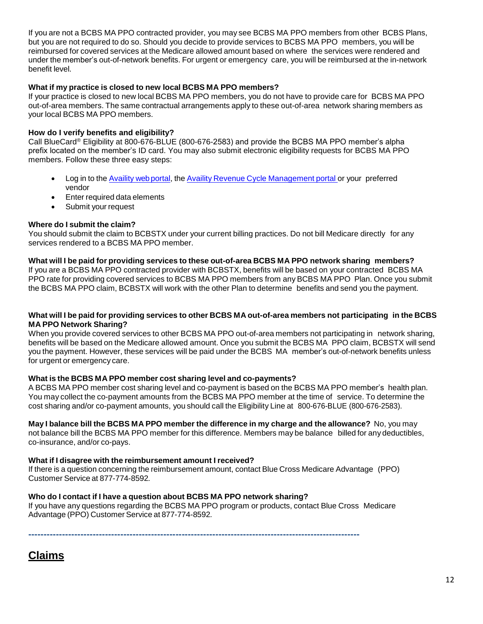If you are not a BCBS MA PPO contracted provider, you may see BCBS MA PPO members from other BCBS Plans, but you are not required to do so. Should you decide to provide services to BCBS MA PPO members, you will be reimbursed for covered services at the Medicare allowed amount based on where the services were rendered and under the member's out-of-network benefits. For urgent or emergency care, you will be reimbursed at the in-network benefit level.

# **What if my practice is closed to new local BCBS MA PPO members?**

If your practice is closed to new local BCBS MA PPO members, you do not have to provide care for BCBS MA PPO out-of-area members. The same contractual arrangements apply to these out-of-area network sharing members as your local BCBS MA PPO members.

# **How do I verify benefits and eligibility?**

Call BlueCard® Eligibility at 800-676-BLUE (800-676-2583) and provide the BCBS MA PPO member's alpha prefix located on the member's ID card. You may also submit electronic eligibility requests for BCBS MA PPO members. Follow these three easy steps:

- Log in to the [Availity](https://apps.availity.com/availity/web/public.elegant.login) web portal, the Availity Revenue Cycle [Management](https://www.availity.com/) portal or your preferred vendor
- Enter required data elements
- Submit your request

# **Where do I submit the claim?**

You should submit the claim to BCBSTX under your current billing practices. Do not bill Medicare directly for any services rendered to a BCBS MA PPO member.

#### **What will I be paid for providing services to these out-of-area BCBS MA PPO network sharing members?**

If you are a BCBS MA PPO contracted provider with BCBSTX, benefits will be based on your contracted BCBS MA PPO rate for providing covered services to BCBS MA PPO members from any BCBS MA PPO Plan. Once you submit the BCBS MA PPO claim, BCBSTX will work with the other Plan to determine benefits and send you the payment.

### What will I be paid for providing services to other BCBS MA out-of-area members not participating in the BCBS **MA PPO Network Sharing?**

When you provide covered services to other BCBS MA PPO out-of-area members not participating in network sharing, benefits will be based on the Medicare allowed amount. Once you submit the BCBS MA PPO claim, BCBSTX will send you the payment. However, these services will be paid under the BCBS MA member's out-of-network benefits unless for urgent or emergency care.

# **What is the BCBS MA PPO member cost sharing level and co-payments?**

A BCBS MA PPO member cost sharing level and co-payment is based on the BCBS MA PPO member's health plan. You may collect the co-payment amounts from the BCBS MA PPO member at the time of service. To determine the cost sharing and/or co-payment amounts, you should call the Eligibility Line at 800-676-BLUE (800-676-2583).

**May I balance bill the BCBS MA PPO member the difference in my charge and the allowance?** No, you may not balance bill the BCBS MA PPO member for this difference. Members may be balance billed for any deductibles, co-insurance, and/or co-pays.

#### **What if I disagree with the reimbursement amount I received?**

If there is a question concerning the reimbursement amount, contact Blue Cross Medicare Advantage (PPO) Customer Service at 877-774-8592*.*

# **Who do I contact if I have a question about BCBS MA PPO network sharing?**

If you have any questions regarding the BCBS MA PPO program or products, contact Blue Cross Medicare Advantage (PPO) Customer Service at 877-774-8592*.*

**------------------------------------------------------------------------------------------------------------**

| laım<br>-‴ |
|------------|
|------------|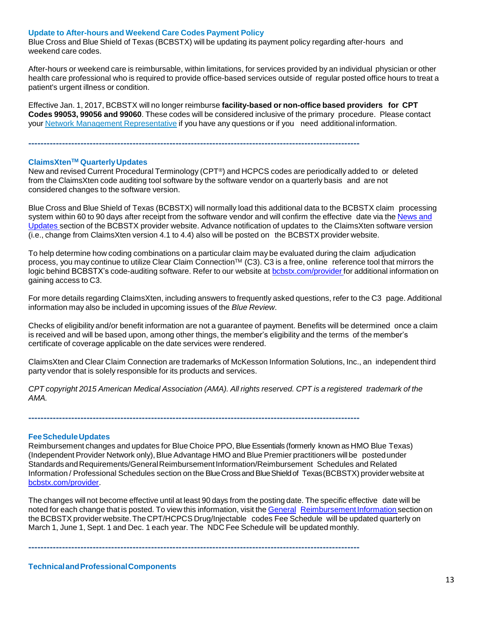#### **Update to After-hours and Weekend Care Codes Payment Policy**

Blue Cross and Blue Shield of Texas (BCBSTX) will be updating its payment policy regarding after-hours and weekend care codes.

After-hours or weekend care is reimbursable, within limitations, for services provided by an individual physician or other health care professional who is required to provide office-based services outside of regular posted office hours to treat a patient's urgent illness or condition.

Effective Jan. 1, 2017, BCBSTX will no longer reimburse **facility-based or non-office based providers for CPT Codes 99053, 99056 and 99060**. These codes will be considered inclusive of the primary procedure. Please contact your Network Management [Representative](https://www.bcbstx.com/provider/contact_us.html#localnetwork) if you have any questions or if you need additional information.

**------------------------------------------------------------------------------------------------------------**

#### **ClaimsXtenTM QuarterlyUpdates**

New and revised Current Procedural Terminology (CPT®) and HCPCS codes are periodically added to or deleted from the ClaimsXten code auditing tool software by the software vendor on a quarterly basis and are not considered changes to the software version.

Blue Cross and Blue Shield of Texas (BCBSTX) will normally load this additional data to the BCBSTX claim processing system within 60 to 90 days after receipt from the software vendor and will confirm the effective date via the [News](http://www.bcbstx.com/provider/news/index.html) and [Updates](http://www.bcbstx.com/provider/news/index.html) section of the BCBSTX provider website. Advance notification of updates to the ClaimsXten software version (i.e., change from ClaimsXten version 4.1 to 4.4) also will be posted on the BCBSTX provider website.

To help determine how coding combinations on a particular claim may be evaluated during the claim adjudication process, you may continue to utilize Clear Claim Connection™ (C3). C3 is a free, online reference tool that mirrors the logic behind BCBSTX's code-auditing software. Refer to our website at [bcbstx.com/provider](http://www.bcbstx.com/provider/) for additional information on gaining access to C3.

For more details regarding ClaimsXten, including answers to frequently asked questions, refer to the C3 page. Additional information may also be included in upcoming issues of the *Blue Review*.

Checks of eligibility and/or benefit information are not a guarantee of payment. Benefits will be determined once a claim is received and will be based upon, among other things, the member's eligibility and the terms of the member's certificate of coverage applicable on the date services were rendered.

ClaimsXten and Clear Claim Connection are trademarks of McKesson Information Solutions, Inc., an independent third party vendor that is solely responsible for its products and services.

CPT copyright 2015 American Medical Association (AMA). All rights reserved. CPT is a registered trademark of the *AMA.*

**------------------------------------------------------------------------------------------------------------**

#### **FeeScheduleUpdates**

Reimbursement changes and updates for Blue Choice PPO, Blue Essentials (formerly known as HMO Blue Texas) (Independent Provider Network only), Blue Advantage HMO and Blue Premier practitioners will be posted under Standards and Requirements/General Reimbursement Information/Reimbursement Schedules and Related Information / Professional Schedules section on the BlueCrossandBlueShieldof Texas(BCBSTX) provider website at [bcbstx.com/provider.](https://www.bcbstx.com/provider/index.html)

The changes will not become effective until at least 90 days from the posting date. The specific effective date will be noted for each change that is posted. To view this information, visit the General Reimbursement Information section on the BCBSTX provider website. The CPT/HCPCS Drug/Injectable codes Fee Schedule will be updated quarterly on March 1, June 1, Sept. 1 and Dec. 1 each year. The NDC Fee Schedule will be updated monthly.

**------------------------------------------------------------------------------------------------------------**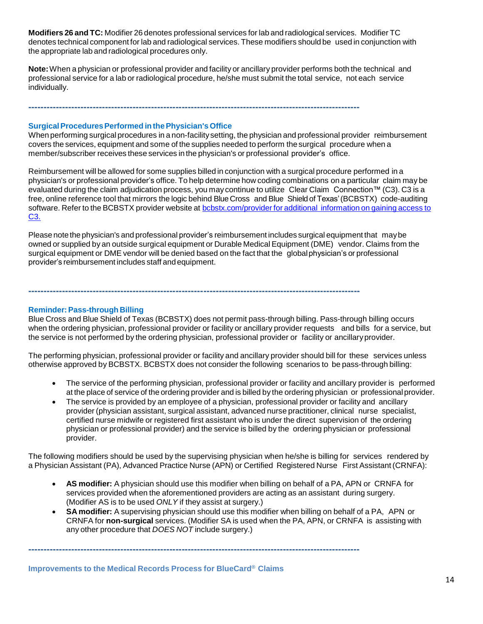**Modifiers 26 and TC:** Modifier 26 denotes professional services for lab and radiological services. Modifier TC denotes technical component for lab and radiological services. These modifiers should be used in conjunction with the appropriate lab and radiological procedures only.

**Note:**When a physician or professional provider and facility or ancillary provider performs both the technical and professional service for a lab or radiological procedure, he/she must submit the total service, not each service individually.

**------------------------------------------------------------------------------------------------------------**

# **SurgicalProceduresPerformed inthePhysician's Office**

When performing surgical procedures in a non-facilitysetting, the physician and professional provider reimbursement covers the services, equipment and some of the supplies needed to perform the surgical procedure when a member/subscriber receives these services in the physician's or professional provider's office.

Reimbursement will be allowed for some supplies billed in conjunction with a surgical procedure performed in a physician's or professional provider's office. To help determine how coding combinations on a particular claim may be evaluated during the claim adjudication process, you may continue to utilize Clear Claim Connection™ (C3). C3 is a free, online reference tool that mirrors the logic behind Blue Cross and Blue Shield of Texas' (BCBSTX) code-auditing software. Refer to the BCBSTX provider website at **[bcbstx.com/provider](https://www.bcbstx.com/provider/tools/clear_claim_connection.html) for additional information on gaining access to** C<sub>3</sub>

Please note the physician's and professional provider's reimbursement includes surgical equipment that may be owned or supplied by an outside surgical equipment or Durable Medical Equipment (DME) vendor. Claims from the surgical equipment or DME vendor will be denied based on the fact that the global physician's or professional provider's reimbursement includes staff andequipment.

**------------------------------------------------------------------------------------------------------------**

# **Reminder:Pass-through Billing**

Blue Cross and Blue Shield of Texas (BCBSTX) does not permit pass-through billing. Pass-through billing occurs when the ordering physician, professional provider or facility or ancillary provider requests and bills for a service, but the service is not performed by the ordering physician, professional provider or facility or ancillaryprovider.

The performing physician, professional provider or facility and ancillary provider should bill for these services unless otherwise approved by BCBSTX. BCBSTX does not consider the following scenarios to be pass-through billing:

- The service of the performing physician, professional provider or facility and ancillary provider is performed at the place of service of the ordering provider and is billed by the ordering physician or professional provider.
- The service is provided by an employee of a physician, professional provider or facility and ancillary provider (physician assistant, surgical assistant, advanced nurse practitioner, clinical nurse specialist, certified nurse midwife or registered first assistant who is under the direct supervision of the ordering physician or professional provider) and the service is billed by the ordering physician or professional provider.

The following modifiers should be used by the supervising physician when he/she is billing for services rendered by a Physician Assistant (PA), Advanced Practice Nurse (APN) or Certified Registered Nurse First Assistant (CRNFA):

- **AS modifier:** A physician should use this modifier when billing on behalf of a PA, APN or CRNFA for services provided when the aforementioned providers are acting as an assistant during surgery. (Modifier AS is to be used *ONLY* if they assist at surgery.)
- **SA modifier:** A supervising physician should use this modifier when billing on behalf of a PA, APN or CRNFA for **non-surgical** services. (Modifier SA is used when the PA, APN, or CRNFA is assisting with any other procedure that *DOES NOT* include surgery.)

**------------------------------------------------------------------------------------------------------------**

**Improvements to the Medical Records Process for BlueCard® Claims**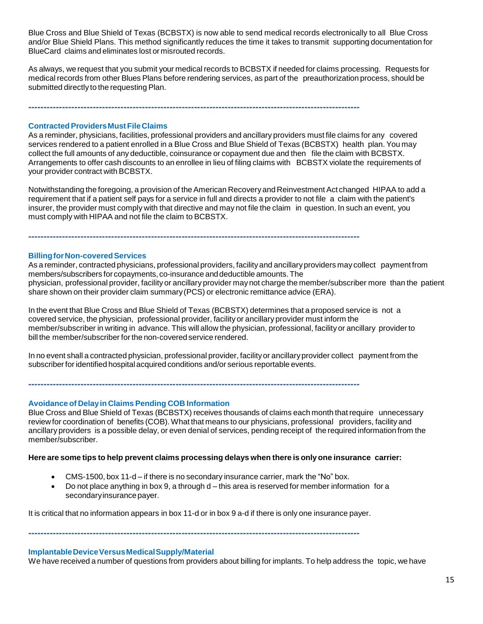Blue Cross and Blue Shield of Texas (BCBSTX) is now able to send medical records electronically to all Blue Cross and/or Blue Shield Plans. This method significantly reduces the time it takes to transmit supporting documentation for BlueCard claims and eliminates lost or misrouted records.

As always, we request that you submit your medical records to BCBSTX if needed for claims processing. Requests for medical records from other Blues Plans before rendering services, as part of the preauthorization process, should be submitted directly to the requesting Plan.

**------------------------------------------------------------------------------------------------------------**

# **ContractedProvidersMustFileClaims**

As a reminder, physicians, facilities, professional providers and ancillary providers must file claims for any covered services rendered to a patient enrolled in a Blue Cross and Blue Shield of Texas (BCBSTX) health plan. You may collect the full amounts of any deductible, coinsurance or copayment due and then file the claim with BCBSTX. Arrangements to offer cash discounts to an enrollee in lieu of filing claims with BCBSTX violate the requirements of your provider contract with BCBSTX.

Notwithstanding the foregoing, a provision of theAmerican Recoveryand Reinvestment Act changed HIPAA to add a requirement that if a patient self pays for a service in full and directs a provider to not file a claim with the patient's insurer, the provider must comply with that directive and may not file the claim in question. In such an event, you must comply with HIPAA and not file the claim to BCBSTX.

**------------------------------------------------------------------------------------------------------------**

**BillingforNon-coveredServices**

As a reminder, contracted physicians, professional providers, facilityand ancillaryproviders may collect paymentfrom members/subscribers for copayments, co-insurance and deductible amounts. The physician, professional provider, facility or ancillary provider maynot charge the member/subscriber more than the patient share shown on their provider claim summary(PCS) or electronic remittance advice (ERA).

In the event that Blue Cross and Blue Shield of Texas (BCBSTX) determines that a proposed service is not a covered service, the physician, professional provider, facility or ancillary provider must inform the member/subscriber in writing in advance. This will allow the physician, professional, facility or ancillary provider to bill the member/subscriber forthe non-covered service rendered.

In no event shall a contracted physician, professional provider, facility or ancillary provider collect payment from the subscriber for identified hospital acquired conditions and/or serious reportable events.

**------------------------------------------------------------------------------------------------------------**

**Avoidance of Delayin Claims Pending COB Information**

Blue Cross and Blue Shield of Texas (BCBSTX) receives thousands of claims each month thatrequire unnecessary review for coordination of benefits (COB).What that means to our physicians, professional providers, facility and ancillary providers is a possible delay, or even denial of services, pending receipt of the required information from the member/subscriber.

#### **Here are some tips to help prevent claims processing delays when there is only one insurance carrier:**

- CMS-1500, box 11-d if there is no secondary insurance carrier, mark the "No" box.
- Do not place anything in box 9, a through d this area is reserved for member information for a secondary insurance payer.

It is critical that no information appears in box 11-d or in box 9 a-d if there is only one insurance payer.

**------------------------------------------------------------------------------------------------------------**

#### **ImplantableDeviceVersusMedicalSupply/Material**

We have received a number of questions from providers about billing for implants. To help address the topic, we have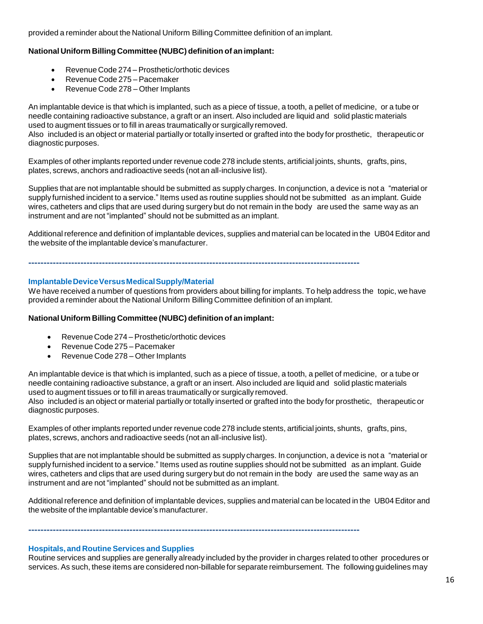provided a reminder about the National Uniform Billing Committee definition of an implant.

# **National Uniform Billing Committee (NUBC) definition of animplant:**

- Revenue Code 274 Prosthetic/orthotic devices
- Revenue Code 275 Pacemaker
- Revenue Code 278 Other Implants

An implantable device is that which is implanted, such as a piece of tissue, a tooth, a pellet of medicine, or a tube or needle containing radioactive substance, a graft or an insert. Also included are liquid and solid plastic materials used to augment tissues or to fill in areas traumatically or surgically removed.

Also included is an object or material partially or totally inserted or grafted into the body for prosthetic, therapeutic or diagnostic purposes.

Examples of other implants reported under revenue code 278 include stents, artificial joints, shunts, grafts, pins, plates, screws, anchors and radioactive seeds (not an all-inclusive list).

Supplies that are not implantable should be submitted as supply charges. In conjunction, a device is not a "material or supply furnished incident to a service." Items used as routine supplies should not be submitted as an implant. Guide wires, catheters and clips that are used during surgery but do not remain in the body are used the same way as an instrument and are not "implanted" should not be submitted as an implant.

Additional reference and definition of implantable devices, supplies and material can be located in the UB04Editor and the website of the implantable device's manufacturer.

**------------------------------------------------------------------------------------------------------------**

#### **ImplantableDeviceVersusMedicalSupply/Material**

We have received a number of questions from providers about billing for implants. To help address the topic, we have provided a reminder about the National Uniform Billing Committee definition of an implant.

# **National Uniform Billing Committee (NUBC) definition of animplant:**

- Revenue Code 274 Prosthetic/orthotic devices
- Revenue Code 275 Pacemaker
- Revenue Code 278 Other Implants

An implantable device is that which is implanted, such as a piece of tissue, a tooth, a pellet of medicine, or a tube or needle containing radioactive substance, a graft or an insert. Also included are liquid and solid plastic materials used to augment tissues or to fill in areas traumatically or surgically removed.

Also included is an object or material partially or totally inserted or grafted into the body for prosthetic, therapeutic or diagnostic purposes.

Examples of other implants reported under revenue code 278 include stents, artificial joints, shunts, grafts, pins, plates, screws, anchors and radioactive seeds (not an all-inclusive list).

Supplies that are not implantable should be submitted as supply charges. In conjunction, a device is not a "material or supply furnished incident to a service." Items used as routine supplies should not be submitted as an implant. Guide wires, catheters and clips that are used during surgery but do not remain in the body are used the same way as an instrument and are not "implanted" should not be submitted as an implant.

Additional reference and definition of implantable devices, supplies and material can be located in the UB04Editor and the website of the implantable device's manufacturer.

**------------------------------------------------------------------------------------------------------------**

#### **Hospitals, and Routine Services and Supplies**

Routine services and supplies are generally already included by the provider in charges related to other procedures or services. As such, these items are considered non-billable for separate reimbursement. The following guidelines may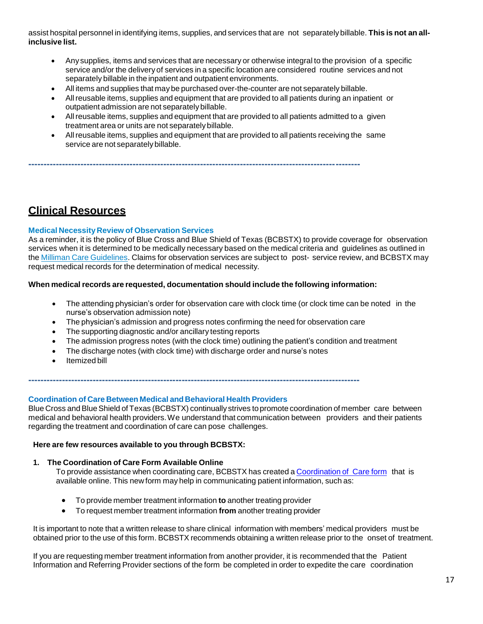assist hospital personnel in identifying items, supplies, and services that are not separately billable. **This is not an allinclusive list.**

- Anysupplies, items and services that are necessary or otherwise integral to the provision of a specific service and/or the deliveryof services in a specific location are considered routine services and not separately billable in the inpatient and outpatient environments.
- All items and supplies that maybe purchased over-the-counter are not separately billable.
- Allreusable items, supplies and equipment that are provided to all patients during an inpatient or outpatient admission are not separatelybillable.
- Allreusable items, supplies and equipment that are provided to all patients admitted to a given treatment area or units are not separately billable.
- Allreusable items, supplies and equipment that are provided to all patients receiving the same service are not separately billable.

**------------------------------------------------------------------------------------------------------------**

# **Clinical Resources**

# **Medical NecessityReview of Observation Services**

As a reminder, it is the policy of Blue Cross and Blue Shield of Texas (BCBSTX) to provide coverage for observation services when it is determined to be medically necessary based on the medical criteria and guidelines as outlined in the Milliman Care [Guidelines](https://www.mcg.com/care-guidelines/care-guidelines/?gclid=EAIaIQobChMI_PTXromB3QIVBgtpCh09pw0pEAAYASAAEgJaQfD_BwE). Claims for observation services are subject to post- service review, and BCBSTX may request medical records for the determination of medical necessity.

# **When medical records are requested, documentation should include the following information:**

- The attending physician's order for observation care with clock time (or clock time can be noted in the nurse's observation admission note)
- The physician's admission and progress notes confirming the need for observation care
- The supporting diagnostic and/or ancillary testing reports
- The admission progress notes (with the clock time) outlining the patient's condition and treatment
- The discharge notes (with clock time) with discharge order and nurse's notes

**------------------------------------------------------------------------------------------------------------**

Itemized bill

#### **Coordination of Care Between Medical and Behavioral Health Providers**

Blue Cross and Blue Shield of Texas (BCBSTX) continually strives to promote coordination of member care between medical and behavioral health providers.We understand that communication between providers and their patients regarding the treatment and coordination of care can pose challenges.

#### **Here are few resources available to you through BCBSTX:**

#### **1. The Coordination of Care Form Available Online**

To provide assistance when coordinating care, BCBSTX has created a [Coordination](http://www.bcbstx.com/provider/pdf/bh_coordination_care.pdf) of Care form that is available online. This new form may help in communicating patient information, such as:

- To provide member treatment information **to** another treating provider
- To request member treatment information **from** another treating provider

It is important to note that a written release to share clinical information with members' medical providers must be obtained prior to the use of this form. BCBSTX recommends obtaining a written release prior to the onset of treatment.

If you are requesting member treatment information from another provider, it is recommended that the Patient Information and Referring Provider sections of the form be completed in order to expedite the care coordination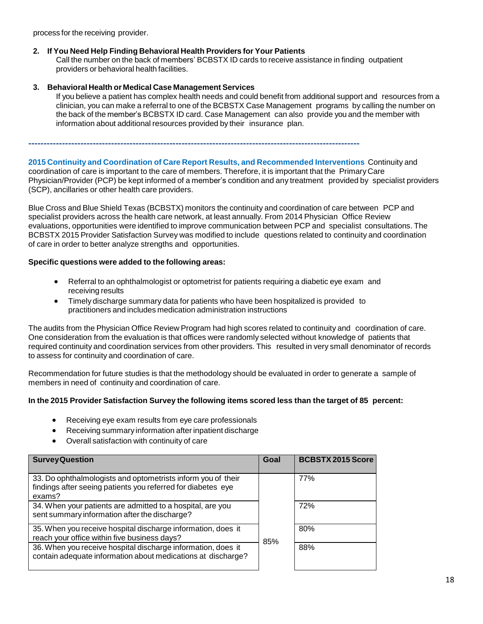process for the receiving provider.

# **2. If You Need Help Finding Behavioral Health Providers for Your Patients**

Call the number on the back of members' BCBSTX ID cards to receive assistance in finding outpatient providers or behavioral health facilities.

# **3. Behavioral Health or Medical Case Management Services**

If you believe a patient has complex health needs and could benefit from additional support and resources from a clinician, you can make a referral to one of the BCBSTX Case Management programs by calling the number on the back of the member's BCBSTX ID card. Case Management can also provide you and the member with information about additional resources provided by their insurance plan.

**------------------------------------------------------------------------------------------------------------**

**2015 Continuity and Coordination of Care Report Results, and Recommended Interventions** Continuity and coordination of care is important to the care of members. Therefore, it is important that the Primary Care Physician/Provider (PCP) be kept informed of a member's condition and any treatment provided by specialist providers (SCP), ancillaries or other health care providers.

Blue Cross and Blue Shield Texas (BCBSTX) monitors the continuity and coordination of care between PCP and specialist providers across the health care network, at least annually. From 2014 Physician Office Review evaluations, opportunities were identified to improve communication between PCP and specialist consultations. The BCBSTX 2015 Provider Satisfaction Survey was modified to include questions related to continuity and coordination of care in order to better analyze strengths and opportunities.

# **Specific questions were added to the following areas:**

- Referral to an ophthalmologist or optometrist for patients requiring a diabetic eye exam and receiving results
- Timely discharge summary data for patients who have been hospitalized is provided to practitioners and includes medication administration instructions

The audits from the Physician Office Review Program had high scores related to continuity and coordination of care. One consideration from the evaluation is that offices were randomly selected without knowledge of patients that required continuity and coordination services from other providers. This resulted in very small denominator of records to assess for continuity and coordination of care.

Recommendation for future studies is that the methodology should be evaluated in order to generate a sample of members in need of continuity and coordination of care.

# **In the 2015 Provider Satisfaction Survey the following items scored less than the target of 85 percent:**

- Receiving eye exam results from eye care professionals
- Receiving summary information after inpatient discharge
- Overall satisfaction with continuity of care

| <b>Survey Question</b>                                                                                                                 | Goal | <b>BCBSTX 2015 Score</b> |
|----------------------------------------------------------------------------------------------------------------------------------------|------|--------------------------|
| 33. Do ophthalmologists and optometrists inform you of their<br>findings after seeing patients you referred for diabetes eye<br>exams? |      | 77%                      |
| 34. When your patients are admitted to a hospital, are you<br>sent summary information after the discharge?                            |      | 72%                      |
| 35. When you receive hospital discharge information, does it<br>reach your office within five business days?                           | 85%  | 80%                      |
| 36. When you receive hospital discharge information, does it<br>contain adequate information about medications at discharge?           |      | 88%                      |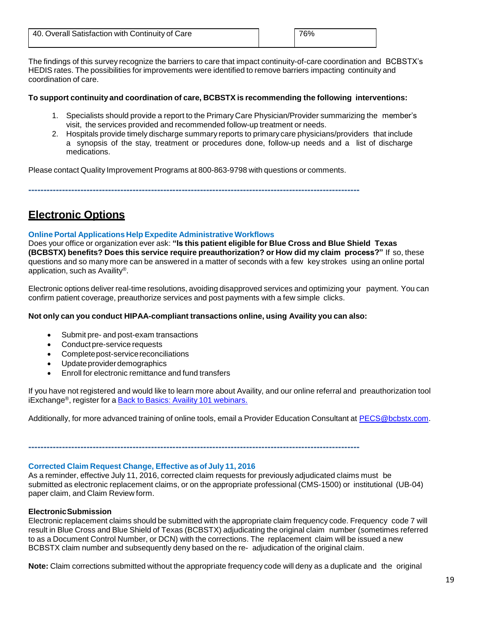| 40. Overall Satisfaction with Continuity of Care | 76% |
|--------------------------------------------------|-----|
|                                                  |     |

The findings of this survey recognize the barriers to care that impact continuity-of-care coordination and BCBSTX's HEDIS rates. The possibilities for improvements were identified to remove barriers impacting continuity and coordination of care.

# **To support continuity and coordination of care, BCBSTX is recommending the following interventions:**

- 1. Specialists should provide a report to the Primary Care Physician/Provider summarizing the member's visit, the services provided and recommended follow-up treatment or needs.
- 2. Hospitals provide timely discharge summary reports to primary care physicians/providers that include a synopsis of the stay, treatment or procedures done, follow-up needs and a list of discharge medications.

Please contact Quality Improvement Programs at 800-863-9798 with questions or comments.

**------------------------------------------------------------------------------------------------------------**

# **Electronic Options**

# **Online Portal Applications Help Expedite Administrative Workflows**

Does your office or organization ever ask: **"Is this patient eligible for Blue Cross and Blue Shield Texas (BCBSTX) benefits? Does this service require preauthorization? or How did my claim process?"** If so, these questions and so many more can be answered in a matter of seconds with a few key strokes using an online portal application, such as Availity®.

Electronic options deliver real-time resolutions, avoiding disapproved services and optimizing your payment. You can confirm patient coverage, preauthorize services and post payments with a few simple clicks.

# **Not only can you conduct HIPAA-compliant transactions online, using Availity you can also:**

- Submit pre- and post-exam transactions
- Conduct pre-service requests
- Complete post-service reconciliations
- Updateproviderdemographics
- Enroll for electronic remittance and fund transfers

If you have not registered and would like to learn more about Availity, and our online referral and preauthorization tool iExchange®, register for a Back to Basics: Availity 101 [webinars.](https://www.bcbstx.com/provider/tools/index.html)

Additionally, for more advanced training of online tools, email a Provider Education Consultant at [PECS@bcbstx.com.](mailto:PECS@bcbstx.com)

**------------------------------------------------------------------------------------------------------------**

# **Corrected Claim Request Change, Effective asof July 11, 2016**

As a reminder, effective July 11, 2016, corrected claim requests for previously adjudicated claims must be submitted as electronic replacement claims, or on the appropriate professional (CMS-1500) or institutional (UB-04) paper claim, and Claim Review form.

#### **ElectronicSubmission**

Electronic replacement claims should be submitted with the appropriate claim frequency code. Frequency code 7 will result in Blue Cross and Blue Shield of Texas (BCBSTX) adjudicating the original claim number (sometimes referred to as a Document Control Number, or DCN) with the corrections. The replacement claim will be issued a new BCBSTX claim number and subsequently deny based on the re- adjudication of the original claim.

**Note:** Claim corrections submitted without the appropriate frequency code will deny as a duplicate and the original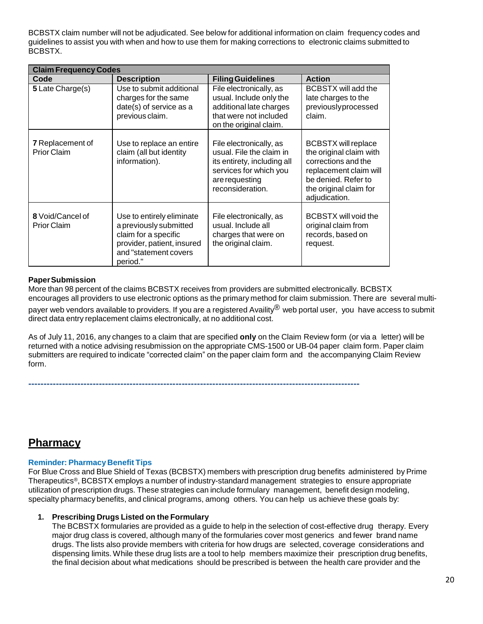BCBSTX claim number will not be adjudicated. See below for additional information on claim frequency codes and guidelines to assist you with when and how to use them for making corrections to electronic claims submitted to BCBSTX.

| <b>Claim Frequency Codes</b>                  |                                                                                                                                                |                                                                                                                                                    |                                                                                                                                                                          |
|-----------------------------------------------|------------------------------------------------------------------------------------------------------------------------------------------------|----------------------------------------------------------------------------------------------------------------------------------------------------|--------------------------------------------------------------------------------------------------------------------------------------------------------------------------|
| Code                                          | <b>Description</b>                                                                                                                             | <b>Filing Guidelines</b>                                                                                                                           | <b>Action</b>                                                                                                                                                            |
| 5 Late Charge(s)                              | Use to submit additional<br>charges for the same<br>date(s) of service as a<br>previous claim.                                                 | File electronically, as<br>usual. Include only the<br>additional late charges<br>that were not included<br>on the original claim.                  | <b>BCBSTX</b> will add the<br>late charges to the<br>previouslyprocessed<br>claim.                                                                                       |
| <b>7</b> Replacement of<br><b>Prior Claim</b> | Use to replace an entire<br>claim (all but identity<br>information).                                                                           | File electronically, as<br>usual. File the claim in<br>its entirety, including all<br>services for which you<br>are requesting<br>reconsideration. | <b>BCBSTX will replace</b><br>the original claim with<br>corrections and the<br>replacement claim will<br>be denied. Refer to<br>the original claim for<br>adjudication. |
| 8 Void/Cancel of<br><b>Prior Claim</b>        | Use to entirely eliminate<br>a previously submitted<br>claim for a specific<br>provider, patient, insured<br>and "statement covers<br>period." | File electronically, as<br>usual. Include all<br>charges that were on<br>the original claim.                                                       | <b>BCBSTX will void the</b><br>original claim from<br>records, based on<br>request.                                                                                      |

# **PaperSubmission**

More than 98 percent of the claims BCBSTX receives from providers are submitted electronically. BCBSTX encourages all providers to use electronic options as the primary method for claim submission. There are several multi-

payer web vendors available to providers. If you are a registered Availity® web portal user, you have access to submit direct data entry replacement claims electronically, at no additional cost.

As of July 11, 2016, any changes to a claim that are specified **only** on the Claim Review form (or via a letter) will be returned with a notice advising resubmission on the appropriate CMS-1500 or UB-04 paper claim form. Paper claim submitters are required to indicate "corrected claim" on the paper claim form and the accompanying Claim Review form.

**------------------------------------------------------------------------------------------------------------**

**Pharmacy**

# **Reminder: Pharmacy Benefit Tips**

For Blue Cross and Blue Shield of Texas (BCBSTX) members with prescription drug benefits administered by Prime Therapeutics®, BCBSTX employs a number of industry-standard management strategies to ensure appropriate utilization of prescription drugs. These strategies can include formulary management, benefit design modeling, specialty pharmacy benefits, and clinical programs, among others. You can help us achieve these goals by:

#### **1. Prescribing Drugs Listed on the Formulary**

The BCBSTX formularies are provided as a guide to help in the selection of cost-effective drug therapy. Every major drug class is covered, although many of the formularies cover most generics and fewer brand name drugs. The lists also provide members with criteria for how drugs are selected, coverage considerations and dispensing limits. While these drug lists are a tool to help members maximize their prescription drug benefits, the final decision about what medications should be prescribed is between the health care provider and the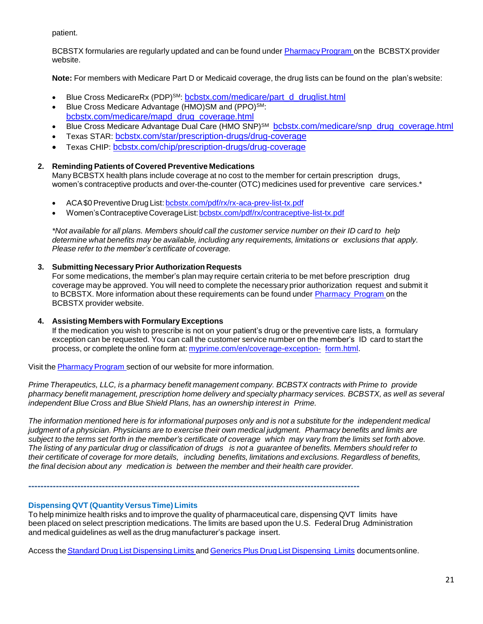patient.

BCBSTX formularies are regularly updated and can be found under Pharmacy Program on the BCBSTX provider website.

**Note:** For members with Medicare Part D or Medicaid coverage, the drug lists can be found on the plan's website:

- Blue Cross MedicareRx (PDP)<sup>SM</sup>: [bcbstx.com/medicare/part\\_d\\_druglist.html](http://www.bcbstx.com/medicare/part_d_druglist.html)
- Blue Cross Medicare Advantage (HMO)SM and (PPO)<sup>SM</sup>: [bcbstx.com/medicare/mapd\\_drug\\_coverage.html](http://www.bcbstx.com/medicare/mapd_drug_coverage.html)
- Blue Cross Medicare Advantage Dual Care (HMO SNP)<sup>SM</sup> [bcbstx.com/medicare/snp\\_drug\\_coverage.html](http://www.bcbstx.com/medicare/snp_drug_coverage.html)
- Texas STAR: [bcbstx.com/star/prescription-drugs/drug-coverage](http://www.bcbstx.com/star/prescription-drugs/drug-coverage)
- Texas CHIP: [bcbstx.com/chip/prescription-drugs/drug-coverage](http://www.bcbstx.com/chip/prescription-drugs/drug-coverage)

# **2. Reminding Patients of Covered Preventive Medications**

Many BCBSTX health plans include coverage at no cost to the member for certain prescription drugs, women's contraceptive products and over-the-counter (OTC) medicines used for preventive care services.\*

- ACA\$0Preventive Drug List: [bcbstx.com/pdf/rx/rx-aca-prev-list-tx.pdf](http://www.bcbstx.com/pdf/rx/rx-aca-prev-list-tx.pdf)
- Women's Contraceptive Coverage List: bcbstx.com/pdf/rx/contraceptive-list-tx.pdf

\*Not available for all plans. Members should call the customer service number on their ID card to help *determine what benefits may be available, including any requirements, limitations or exclusions that apply. Please refer to the member's certificate of coverage.*

# **3. Submitting Necessary Prior Authorization Requests**

For some medications, the member's plan may require certain criteria to be met before prescription drug coverage may be approved. You will need to complete the necessary prior authorization request and submit it to BCBSTX. More information about these requirements can be found under [Pharmacy](http://www.bcbstx.com/provider/pharmacy/index.html) [Program](http://www.bcbstx.com/provider/pharmacy/index.html) on the BCBSTX provider website.

# **4. Assisting Members with Formulary Exceptions**

If the medication you wish to prescribe is not on your patient's drug or the preventive care lists, a formulary exception can be requested. You can call the customer service number on the member's ID card to start the process, or complete the online form at: [myprime.com/en/coverage-exception-](http://www.myprime.com/en/coverage-exception-form.html) [form.html.](http://www.myprime.com/en/coverage-exception-form.html)

Visit the Pharmacy Program section of our website for more information.

*Prime Therapeutics, LLC, is a pharmacy benefit management company. BCBSTX contracts with Prime to provide pharmacy benefit management, prescription home delivery and specialty pharmacy services. BCBSTX, as well as several independent Blue Cross and Blue Shield Plans, has an ownership interest in Prime.*

The information mentioned here is for informational purposes only and is not a substitute for the independent medical judgment of a physician. Physicians are to exercise their own medical judgment. Pharmacy benefits and limits are subject to the terms set forth in the member's certificate of coverage which may vary from the limits set forth above. The listing of any particular drug or classification of drugs is not a guarantee of benefits. Members should refer to *their certificate of coverage for more details, including benefits, limitations and exclusions. Regardless of benefits, the final decision about any medication is between the member and their health care provider.*

**------------------------------------------------------------------------------------------------------------**

# **Dispensing QVT (Quantity Versus Time) Limits**

To help minimize health risks and to improve the quality of pharmaceutical care, dispensing QVT limits have been placed on select prescription medications. The limits are based upon the U.S. Federal Drug Administration and medical guidelines as well as the drug manufacturer's package insert.

Access the Standard Drug List [Dispensing](https://www.bcbstx.com/pdf/rx/rx_dispensing_limits_gen_tx.pdf) [Limits](http://www.pages02.net/hcscnosuppression/nlt_br_providers_june_2016_b_ok_060116_in_every_issue/LPT.url?kn=900486&amp%3Bamp%3Bvs=YTVjNjZjMzUtOGRhNi00MDUwLWI1MDAtYTg0NTI3M2JkZmUxOzA6ODk5OTgwMToyMjY0ODg5MjYwNzo5NDAwOTQyMjQ6OTQwMDk0MjI0OwS2) and Generics Plus Drug List Dispensing Limits documents online.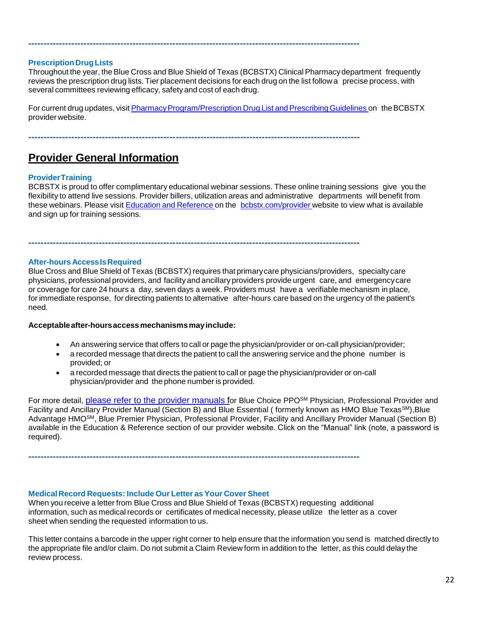# **PrescriptionDrugLists**

Throughout the year, theBlue Cross and Blue Shield of Texas (BCBSTX) Clinical Pharmacydepartment frequently reviews the prescription drug lists. Tier placement decisions for each drug on the list follow a precise process, with several committees reviewing efficacy, safety and cost of each drug.

For current drug updates, visit Pharmacy Program/Prescription Drug List and Prescribing Guidelines on the BCBSTX provider website.

**------------------------------------------------------------------------------------------------------------**

**------------------------------------------------------------------------------------------------------------**

**------------------------------------------------------------------------------------------------------------**

# **Provider General Information**

# **ProviderTraining**

BCBSTX is proud to offer complimentary educational webinar sessions. These online training sessions give you the flexibility to attend live sessions. Provider billers, utilization areas and administrative departments will benefit from these webinars. Please visit Education and [Reference](http://www.bcbstx.com/provider/training/index.html) on the [bcbstx.com/provider](http://www.bcbstx.com/provider/index.html) website to view what is available and sign up for training sessions.

**After-hours AccessIsRequired**

Blue Cross and Blue Shield of Texas (BCBSTX) requires that primary care physicians/providers, specialty care physicians, professional providers, and facility and ancillary providers provide urgent care, and emergencycare or coverage for care 24 hours a day, seven days a week. Providers must have a verifiable mechanism in place, for immediate response, for directing patients to alternative after-hours care based on the urgency of the patient's need.

#### **Acceptableafter-hoursaccessmechanismsmayinclude:**

- An answering service that offers to call or page the physician/provider or on-call physician/provider;
- a recorded message that directs the patient to call the answering service and the phone number is provided; or
- a recorded message that directs the patient to call or page the physician/provider or on-call physician/provider and the phone number is provided.

For more detail, [please refer to the provider manuals](https://www.bcbstx.com/provider/gri/index.html) for Blue Choice PPO<sup>SM</sup> Physician, Professional Provider and Facility and Ancillary Provider Manual (Section B) and Blue Essential (formerly known as HMO Blue Texas<sup>SM</sup>), Blue Advantage HMOSM, Blue Premier Physician, Professional Provider, Facility and Ancillary Provider Manual (Section B) available in the Education & Reference section of our provider website. Click on the "Manual" link (note, a password is required).

#### **Medical Record Requests: Include Our Letter as Your Cover Sheet**

When you receive a letter from Blue Cross and Blue Shield of Texas (BCBSTX) requesting additional information, such as medical records or certificates of medical necessity, please utilize the letter as a cover sheet when sending the requested information to us.

**------------------------------------------------------------------------------------------------------------**

This letter contains a barcode in the upper right corner to help ensure that the information you send is matched directly to the appropriate file and/or claim. Do not submit a Claim Review form in addition to the letter, as this could delay the review process.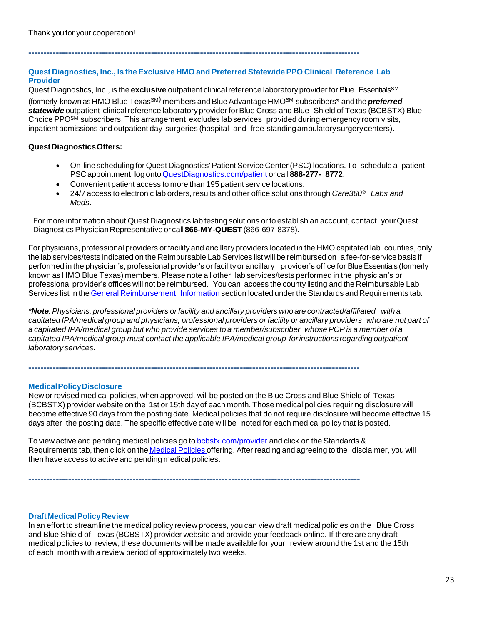# **Quest Diagnostics, Inc., Is theExclusive HMO and Preferred Statewide PPO Clinical Reference Lab Provider**

**------------------------------------------------------------------------------------------------------------**

Quest Diagnostics, Inc., is the **exclusive** outpatient clinical reference laboratory provider for Blue Essentials<sup>SM</sup> (formerly known as HMO Blue Texas SM) members and Blue Advantage HMOSM subscribers\* and the *preferred* statewide outpatient clinical reference laboratory provider for Blue Cross and Blue Shield of Texas (BCBSTX) Blue Choice PPO<sup>SM</sup> subscribers. This arrangement excludes lab services provided during emergency room visits, inpatient admissions and outpatient day surgeries (hospital and free-standingambulatorysurgerycenters).

# **QuestDiagnosticsOffers:**

- On-linescheduling for Quest Diagnostics' Patient Service Center (PSC) locations. To schedule a patient PSC appointment, log onto [QuestDiagnostics.com/patient](https://www.questdiagnostics.com/home/patients) or call **888-277- 8772**.
- Convenient patient access to more than 195 patient service locations.
- 24/7 access to electronic lab orders,results and other office solutions through *Care360® Labs and Meds*.

For more information about Quest Diagnostics lab testing solutions or to establish an account, contact yourQuest Diagnostics PhysicianRepresentative or call **866-MY-QUEST** (866-697-8378).

For physicians, professional providers or facility and ancillary providers located in the HMO capitated lab counties, only the lab services/tests indicated on the Reimbursable Lab Services list will be reimbursed on a fee-for-service basis if performed in the physician's, professional provider's or facility or ancillary provider's office for BlueEssentials (formerly known as HMO Blue Texas) members. Please note all other lab services/tests performed in the physician's or professional provider's offices will not be reimbursed. You can access the county listing and the Reimbursable Lab Services list in the General [Reimbursement](https://www.bcbstx.com/provider/gri/index.html) Information section located under the Standards and Requirements tab.

*\*Note:Physicians, professional providers orfacility and ancillary providers who are contracted/affiliated with a* capitated IPA/medical group and physicians, professional providers or facility or ancillary providers who are not part of a capitated IPA/medical group but who provide services to a member/subscriber whose PCP is a member of a *capitated IPA/medical group must contact the applicable IPA/medical group forinstructions regarding outpatient laboratory services.*

**------------------------------------------------------------------------------------------------------------**

#### **MedicalPolicyDisclosure**

New or revised medical policies, when approved, will be posted on the Blue Cross and Blue Shield of Texas (BCBSTX) provider website on the 1st or 15th dayof each month. Those medical policies requiring disclosure will become effective 90 days from the posting date. Medical policies that do not require disclosure will become effective 15 days after the posting date. The specific effective date will be noted for each medical policy that is posted.

To view active and pending medical policies go to [bcbstx.com/provider](https://www.bcbstx.com/provider/) and click on the Standards & Requirements tab, then click on the [Medical](http://www.medicalpolicy.hcsc.net/medicalpolicy/disclaimer?corpEntCd=TX1) Policies offering. After reading and agreeing to the disclaimer, you will then have access to active and pending medical policies.

**------------------------------------------------------------------------------------------------------------**

# **DraftMedicalPolicyReview**

In an effort to streamline the medical policy review process, you can view draft medical policies on the Blue Cross and Blue Shield of Texas (BCBSTX) provider website and provide your feedback online. If there are any draft medical policies to review, these documents will be made available for your review around the 1st and the 15th of each month with a review period of approximately two weeks.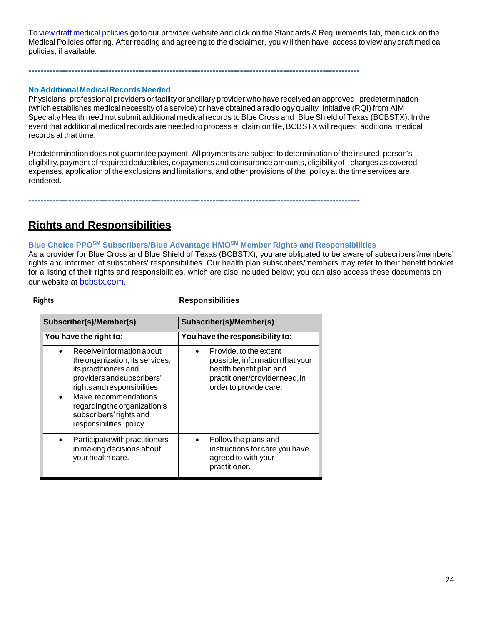To view draft [medical](http://www.medicalpolicy.hcsc.net/medicalpolicy/disclaimer?corpEntCd=TX1) policies go to our provider website and click on the Standards & Requirements tab, then click on the Medical Policies offering. After reading and agreeing to the disclaimer, you will then have access to view any draft medical policies, if available.

# **No AdditionalMedicalRecords Needed**

Physicians, professional providers orfacilityor ancillary provider who have received an approved predetermination (which establishes medical necessity of a service) or have obtained a radiology quality initiative (RQI) from AIM Specialty Health need not submit additional medical records to Blue Cross and Blue Shield of Texas (BCBSTX). In the event that additional medical records are needed to process a claim on file, BCBSTX willrequest additional medical records at that time.

Predetermination does not guarantee payment. All payments are subject to determination of the insured person's eligibility,payment of required deductibles, copayments and coinsurance amounts, eligibilityof charges as covered expenses, application of the exclusions and limitations, and other provisions of the policyat the time services are rendered.

**------------------------------------------------------------------------------------------------------------**

**------------------------------------------------------------------------------------------------------------**

# **Rights and Responsibilities**

# **Blue Choice PPOSM Subscribers/Blue Advantage HMOSM Member Rights and Responsibilities**

As a provider for Blue Cross and Blue Shield of Texas (BCBSTX), you are obligated to be aware of subscribers'/members' rights and informed of subscribers' responsibilities. Our health plan subscribers/members may refer to their benefit booklet for a listing of their rights and responsibilities, which are also included below; you can also access these documents on our website at **[bcbstx.com.](https://www.bcbstx.com/provider/)** 

#### **Rights Responsibilities**

| Subscriber(s)/Member(s)                                                                                                                                                                                                                                                         | Subscriber(s)/Member(s)                                                                                                                          |
|---------------------------------------------------------------------------------------------------------------------------------------------------------------------------------------------------------------------------------------------------------------------------------|--------------------------------------------------------------------------------------------------------------------------------------------------|
| You have the right to:                                                                                                                                                                                                                                                          | You have the responsibility to:                                                                                                                  |
| Receive information about<br>the organization, its services,<br>its practitioners and<br>providers and subscribers'<br>rights and responsibilities.<br>Make recommendations<br>$\bullet$<br>regarding the organization's<br>subscribers' rights and<br>responsibilities policy. | Provide, to the extent<br>possible, information that your<br>health benefit plan and<br>practitioner/provider need, in<br>order to provide care. |
| Participate with practitioners<br>in making decisions about<br>your health care.                                                                                                                                                                                                | Follow the plans and<br>instructions for care you have<br>agreed to with your<br>practitioner.                                                   |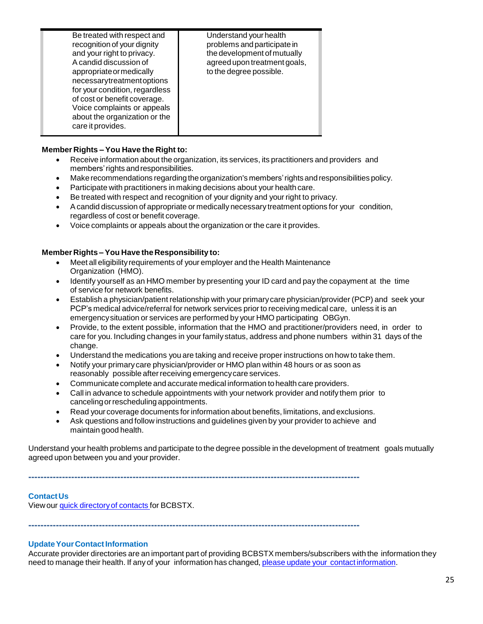| Be treated with respect and<br>recognition of your dignity<br>and your right to privacy.<br>A candid discussion of<br>appropriate or medically<br>necessarytreatmentoptions<br>for your condition, regardless<br>of cost or benefit coverage.<br>Voice complaints or appeals<br>about the organization or the<br>care it provides. | Understand your health<br>problems and participate in<br>the development of mutually<br>agreed upon treatment goals,<br>to the degree possible. |
|------------------------------------------------------------------------------------------------------------------------------------------------------------------------------------------------------------------------------------------------------------------------------------------------------------------------------------|-------------------------------------------------------------------------------------------------------------------------------------------------|
|------------------------------------------------------------------------------------------------------------------------------------------------------------------------------------------------------------------------------------------------------------------------------------------------------------------------------------|-------------------------------------------------------------------------------------------------------------------------------------------------|

# **Member Rights – You Have the Right to:**

- Receive information about the organization, its services, its practitioners and providers and members'rights andresponsibilities.
- Makerecommendations regardingtheorganization's members'rights andresponsibilities policy.
- Participate with practitioners in making decisions about your health care.
- Be treated with respect and recognition of your dignity and your right to privacy.
- Acandid discussion of appropriate or medically necessary treatment options for your condition, regardless of cost or benefit coverage.
- Voice complaints or appeals about the organization or the care it provides.

# **Member Rights – You Have the Responsibility to:**

- Meet all eligibilityrequirements of your employer and the Health Maintenance Organization (HMO).
- Identify yourself as an HMO member by presenting your ID card and pay the copayment at the time of service for network benefits.
- Establish a physician/patient relationship with your primarycare physician/provider (PCP) and seek your PCP's medical advice/referral for network services prior to receiving medical care, unless it is an emergencysituation or services are performed by your HMO participating OBGyn.
- Provide, to the extent possible, information that the HMO and practitioner/providers need, in order to care for you. Including changes in your family status, address and phone numbers within 31 days of the change.
- Understand the medications you are taking and receive proper instructions on how to take them.
- Notify your primarycare physician/provider or HMO plan within 48 hours or as soon as reasonably possible after receiving emergency care services.
- Communicate complete and accurate medical information to health care providers.
- Call in advance to schedule appointments with your network provider and notify them prior to cancelingorrescheduling appointments.
- Read your coverage documents forinformation about benefits, limitations, and exclusions.
- Ask questions and follow instructions and guidelines given by your provider to achieve and maintain good health.

Understand your health problems and participate to the degree possible in the development of treatment goals mutually agreed upon between you and your provider.

**------------------------------------------------------------------------------------------------------------**

### **ContactUs** View our quick directory of contacts for BCBSTX.

**------------------------------------------------------------------------------------------------------------**

# **Update Your Contact Information**

Accurate provider directories are an important part of providing BCBSTX members/subscribers with the information they need to manage their health. If any of your information has changed, please update your contact [information.](http://www.pages02.net/hcscnosuppression/nlt_april_2016_p_br_provider_tx_040616_UpdateContactInfo/)